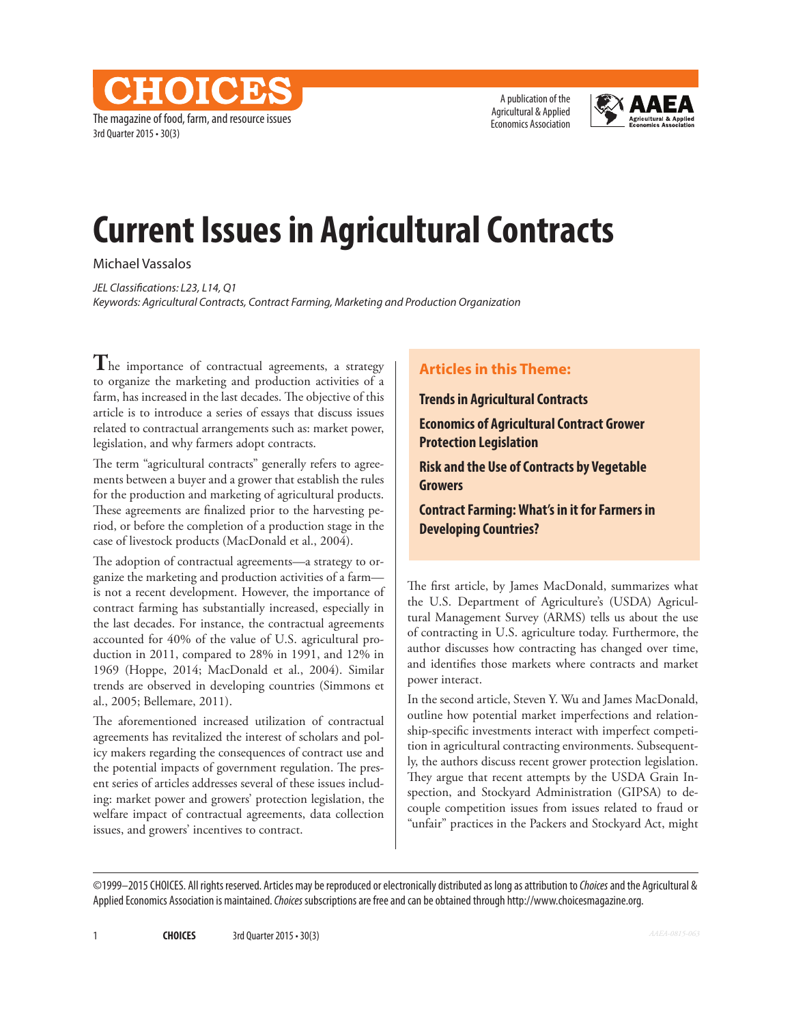A publication of the Agricultural & Applied Economics Association



# **Current Issues in Agricultural Contracts**

Michael Vassalos

3rd Quarter 2015 • 30(3)

The magazine of food, farm, and resource issues

CHOICD

*JEL Classifications: L23, L14, Q1 Keywords: Agricultural Contracts, Contract Farming, Marketing and Production Organization* 

**T**he importance of contractual agreements, a strategy to organize the marketing and production activities of a farm, has increased in the last decades. The objective of this article is to introduce a series of essays that discuss issues related to contractual arrangements such as: market power, legislation, and why farmers adopt contracts.

The term "agricultural contracts" generally refers to agreements between a buyer and a grower that establish the rules for the production and marketing of agricultural products. These agreements are finalized prior to the harvesting period, or before the completion of a production stage in the case of livestock products (MacDonald et al., 2004).

The adoption of contractual agreements—a strategy to organize the marketing and production activities of a farm is not a recent development. However, the importance of contract farming has substantially increased, especially in the last decades. For instance, the contractual agreements accounted for 40% of the value of U.S. agricultural production in 2011, compared to 28% in 1991, and 12% in 1969 (Hoppe, 2014; MacDonald et al., 2004). Similar trends are observed in developing countries (Simmons et al., 2005; Bellemare, 2011).

The aforementioned increased utilization of contractual agreements has revitalized the interest of scholars and policy makers regarding the consequences of contract use and the potential impacts of government regulation. The present series of articles addresses several of these issues including: market power and growers' protection legislation, the welfare impact of contractual agreements, data collection issues, and growers' incentives to contract.

### **Articles in this Theme:**

**Trends in Agricultural Contracts**

**Economics of Agricultural Contract Grower Protection Legislation**

**Risk and the Use of Contracts by Vegetable Growers**

**Contract Farming: What's in it for Farmers in Developing Countries?** 

The first article, by James MacDonald, summarizes what the U.S. Department of Agriculture's (USDA) Agricultural Management Survey (ARMS) tells us about the use of contracting in U.S. agriculture today. Furthermore, the author discusses how contracting has changed over time, and identifies those markets where contracts and market power interact.

In the second article, Steven Y. Wu and James MacDonald, outline how potential market imperfections and relationship-specific investments interact with imperfect competition in agricultural contracting environments. Subsequently, the authors discuss recent grower protection legislation. They argue that recent attempts by the USDA Grain Inspection, and Stockyard Administration (GIPSA) to decouple competition issues from issues related to fraud or "unfair" practices in the Packers and Stockyard Act, might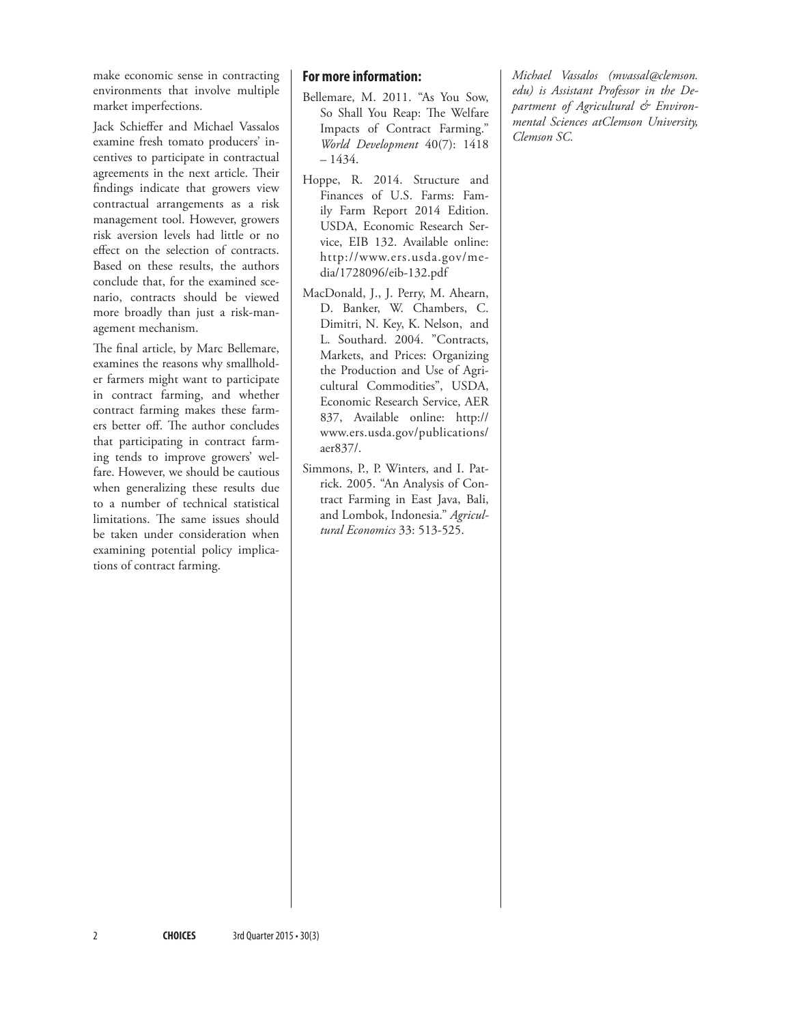make economic sense in contracting environments that involve multiple market imperfections.

Jack Schieffer and Michael Vassalos examine fresh tomato producers' incentives to participate in contractual agreements in the next article. Their findings indicate that growers view contractual arrangements as a risk management tool. However, growers risk aversion levels had little or no effect on the selection of contracts. Based on these results, the authors conclude that, for the examined scenario, contracts should be viewed more broadly than just a risk-management mechanism.

The final article, by Marc Bellemare, examines the reasons why smallholder farmers might want to participate in contract farming, and whether contract farming makes these farmers better off. The author concludes that participating in contract farming tends to improve growers' welfare. However, we should be cautious when generalizing these results due to a number of technical statistical limitations. The same issues should be taken under consideration when examining potential policy implications of contract farming.

#### **For more information:**

- Bellemare, M. 2011. "As You Sow, So Shall You Reap: The Welfare Impacts of Contract Farming." *World Development* 40(7): 1418 – 1434.
- Hoppe, R. 2014. Structure and Finances of U.S. Farms: Family Farm Report 2014 Edition. USDA, Economic Research Service, EIB 132. Available online: http://www.ers.usda.gov/media/1728096/eib-132.pdf
- MacDonald, J., J. Perry, M. Ahearn, D. Banker, W. Chambers, C. Dimitri, N. Key, K. Nelson, and L. Southard. 2004. "Contracts, Markets, and Prices: Organizing the Production and Use of Agricultural Commodities", USDA, Economic Research Service, AER 837, Available online: http:// www.ers.usda.gov/publications/ aer837/.
- Simmons, P., P. Winters, and I. Patrick. 2005. "An Analysis of Contract Farming in East Java, Bali, and Lombok, Indonesia." *Agricultural Economics* 33: 513-525.

*Michael Vassalos (mvassal@clemson. edu) is Assistant Professor in the Department of Agricultural & Environmental Sciences atClemson University, Clemson SC.*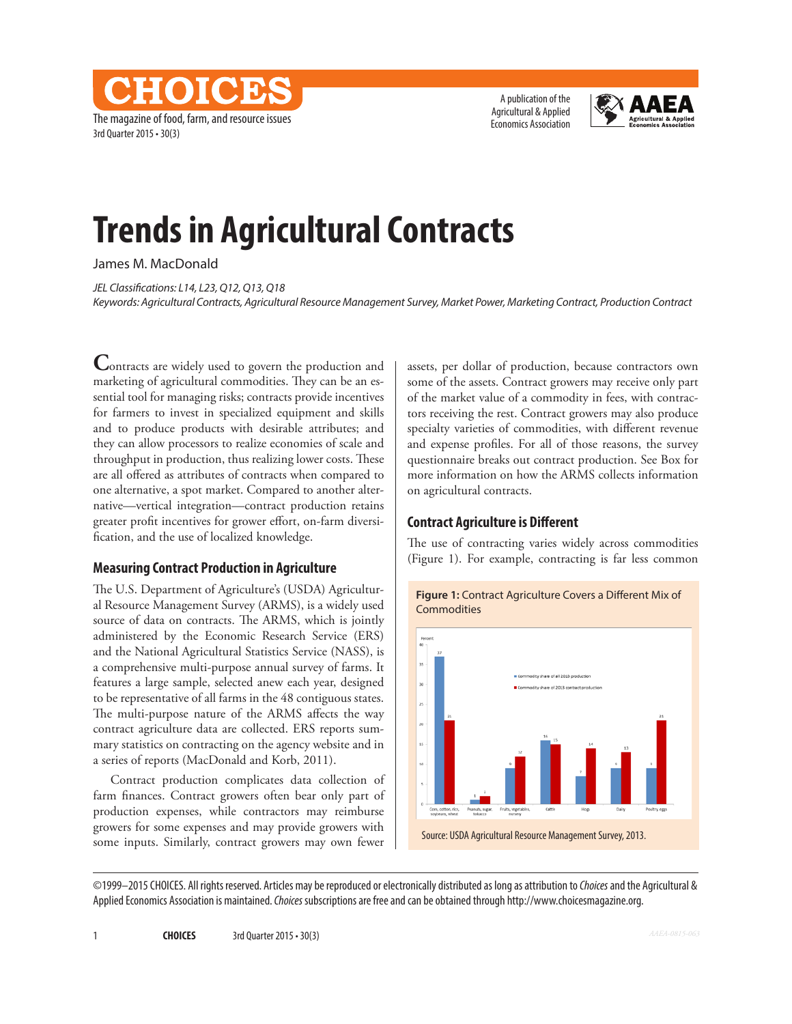The magazine of food, farm, and resource issues 3rd Quarter 2015 • 30(3)

**HOICH** 

A publication of the Agricultural & Applied Economics Association



## **Trends in Agricultural Contracts**

James M. MacDonald

*JEL Classifications: L14, L23, Q12, Q13, Q18 Keywords: Agricultural Contracts, Agricultural Resource Management Survey, Market Power, Marketing Contract, Production Contract*

**Contracts are widely used to govern the production and** marketing of agricultural commodities. They can be an essential tool for managing risks; contracts provide incentives for farmers to invest in specialized equipment and skills and to produce products with desirable attributes; and they can allow processors to realize economies of scale and throughput in production, thus realizing lower costs. These are all offered as attributes of contracts when compared to one alternative, a spot market. Compared to another alternative—vertical integration—contract production retains greater profit incentives for grower effort, on-farm diversification, and the use of localized knowledge.

#### **Measuring Contract Production in Agriculture**

The U.S. Department of Agriculture's (USDA) Agricultural Resource Management Survey (ARMS), is a widely used source of data on contracts. The ARMS, which is jointly administered by the Economic Research Service (ERS) and the National Agricultural Statistics Service (NASS), is a comprehensive multi-purpose annual survey of farms. It features a large sample, selected anew each year, designed to be representative of all farms in the 48 contiguous states. The multi-purpose nature of the ARMS affects the way contract agriculture data are collected. ERS reports summary statistics on contracting on the agency website and in a series of reports (MacDonald and Korb, 2011).

Contract production complicates data collection of farm finances. Contract growers often bear only part of production expenses, while contractors may reimburse growers for some expenses and may provide growers with some inputs. Similarly, contract growers may own fewer

assets, per dollar of production, because contractors own some of the assets. Contract growers may receive only part of the market value of a commodity in fees, with contractors receiving the rest. Contract growers may also produce specialty varieties of commodities, with different revenue and expense profiles. For all of those reasons, the survey questionnaire breaks out contract production. See Box for more information on how the ARMS collects information on agricultural contracts.

### **Contract Agriculture is Different**

The use of contracting varies widely across commodities (Figure 1). For example, contracting is far less common



**Figure 1:** Contract Agriculture Covers a Different Mix of **Commodities**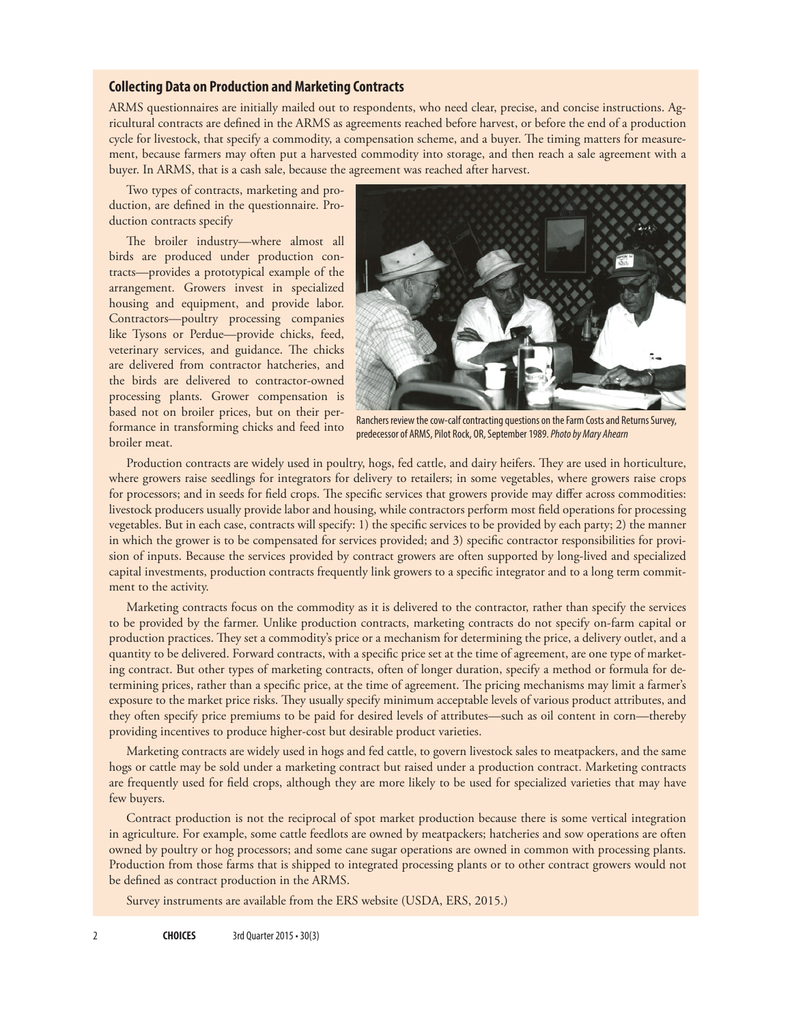#### **Collecting Data on Production and Marketing Contracts**

ARMS questionnaires are initially mailed out to respondents, who need clear, precise, and concise instructions. Agricultural contracts are defined in the ARMS as agreements reached before harvest, or before the end of a production cycle for livestock, that specify a commodity, a compensation scheme, and a buyer. The timing matters for measurement, because farmers may often put a harvested commodity into storage, and then reach a sale agreement with a buyer. In ARMS, that is a cash sale, because the agreement was reached after harvest.

Two types of contracts, marketing and production, are defined in the questionnaire. Production contracts specify

The broiler industry—where almost all birds are produced under production contracts—provides a prototypical example of the arrangement. Growers invest in specialized housing and equipment, and provide labor. Contractors—poultry processing companies like Tysons or Perdue—provide chicks, feed, veterinary services, and guidance. The chicks are delivered from contractor hatcheries, and the birds are delivered to contractor-owned processing plants. Grower compensation is based not on broiler prices, but on their performance in transforming chicks and feed into broiler meat.



Ranchers review the cow-calf contracting questions on the Farm Costs and Returns Survey, predecessor of ARMS, Pilot Rock, OR, September 1989. *Photo by Mary Ahearn*

Production contracts are widely used in poultry, hogs, fed cattle, and dairy heifers. They are used in horticulture, where growers raise seedlings for integrators for delivery to retailers; in some vegetables, where growers raise crops for processors; and in seeds for field crops. The specific services that growers provide may differ across commodities: livestock producers usually provide labor and housing, while contractors perform most field operations for processing vegetables. But in each case, contracts will specify: 1) the specific services to be provided by each party; 2) the manner in which the grower is to be compensated for services provided; and 3) specific contractor responsibilities for provision of inputs. Because the services provided by contract growers are often supported by long-lived and specialized capital investments, production contracts frequently link growers to a specific integrator and to a long term commitment to the activity.

Marketing contracts focus on the commodity as it is delivered to the contractor, rather than specify the services to be provided by the farmer. Unlike production contracts, marketing contracts do not specify on-farm capital or production practices. They set a commodity's price or a mechanism for determining the price, a delivery outlet, and a quantity to be delivered. Forward contracts, with a specific price set at the time of agreement, are one type of marketing contract. But other types of marketing contracts, often of longer duration, specify a method or formula for determining prices, rather than a specific price, at the time of agreement. The pricing mechanisms may limit a farmer's exposure to the market price risks. They usually specify minimum acceptable levels of various product attributes, and they often specify price premiums to be paid for desired levels of attributes—such as oil content in corn—thereby providing incentives to produce higher-cost but desirable product varieties.

Marketing contracts are widely used in hogs and fed cattle, to govern livestock sales to meatpackers, and the same hogs or cattle may be sold under a marketing contract but raised under a production contract. Marketing contracts are frequently used for field crops, although they are more likely to be used for specialized varieties that may have few buyers.

Contract production is not the reciprocal of spot market production because there is some vertical integration in agriculture. For example, some cattle feedlots are owned by meatpackers; hatcheries and sow operations are often owned by poultry or hog processors; and some cane sugar operations are owned in common with processing plants. Production from those farms that is shipped to integrated processing plants or to other contract growers would not be defined as contract production in the ARMS.

Survey instruments are available from the ERS website (USDA, ERS, 2015.)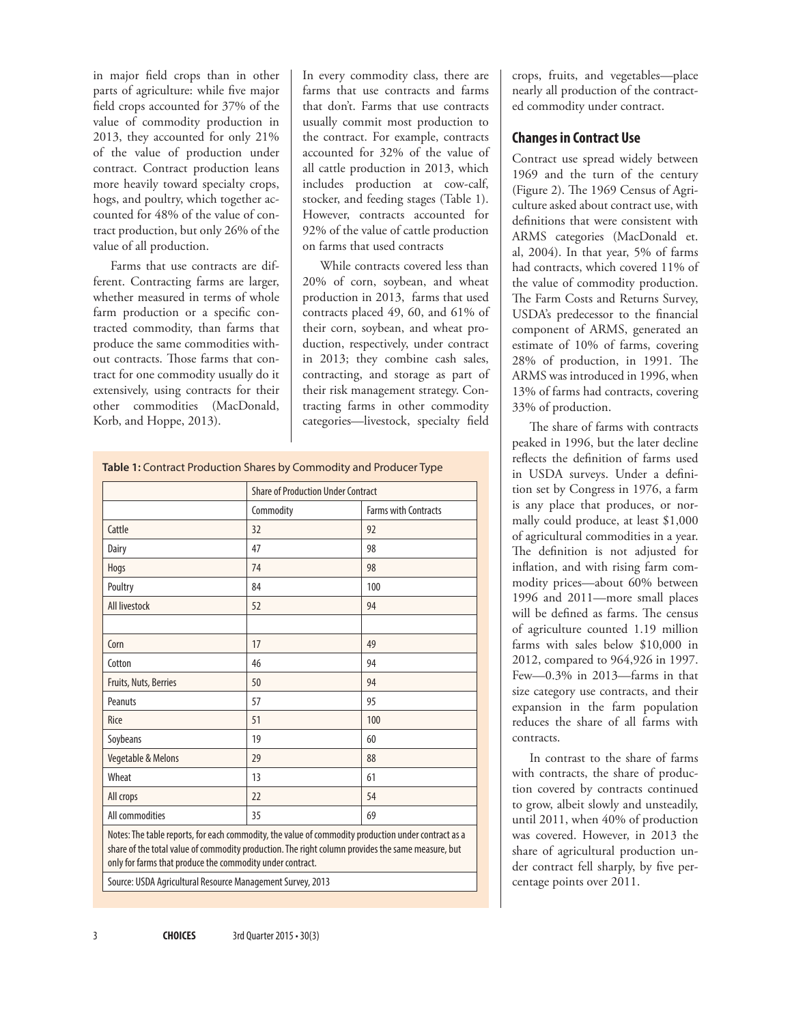in major field crops than in other parts of agriculture: while five major field crops accounted for 37% of the value of commodity production in 2013, they accounted for only 21% of the value of production under contract. Contract production leans more heavily toward specialty crops, hogs, and poultry, which together accounted for 48% of the value of contract production, but only 26% of the value of all production.

Farms that use contracts are different. Contracting farms are larger, whether measured in terms of whole farm production or a specific contracted commodity, than farms that produce the same commodities without contracts. Those farms that contract for one commodity usually do it extensively, using contracts for their other commodities (MacDonald, Korb, and Hoppe, 2013).

In every commodity class, there are farms that use contracts and farms that don't. Farms that use contracts usually commit most production to the contract. For example, contracts accounted for 32% of the value of all cattle production in 2013, which includes production at cow-calf, stocker, and feeding stages (Table 1). However, contracts accounted for 92% of the value of cattle production on farms that used contracts

While contracts covered less than 20% of corn, soybean, and wheat production in 2013, farms that used contracts placed 49, 60, and 61% of their corn, soybean, and wheat production, respectively, under contract in 2013; they combine cash sales, contracting, and storage as part of their risk management strategy. Contracting farms in other commodity categories—livestock, specialty field

**Table 1:** Contract Production Shares by Commodity and Producer Type

|                                                                                                                                                                                                                                                                       |           | <b>Share of Production Under Contract</b> |  |
|-----------------------------------------------------------------------------------------------------------------------------------------------------------------------------------------------------------------------------------------------------------------------|-----------|-------------------------------------------|--|
|                                                                                                                                                                                                                                                                       | Commodity | <b>Farms with Contracts</b>               |  |
| Cattle                                                                                                                                                                                                                                                                | 32        | 92                                        |  |
| Dairy                                                                                                                                                                                                                                                                 | 47        | 98                                        |  |
| Hogs                                                                                                                                                                                                                                                                  | 74        | 98                                        |  |
| Poultry                                                                                                                                                                                                                                                               | 84        | 100                                       |  |
| All livestock                                                                                                                                                                                                                                                         | 52        | 94                                        |  |
|                                                                                                                                                                                                                                                                       |           |                                           |  |
| Corn                                                                                                                                                                                                                                                                  | 17        | 49                                        |  |
| Cotton                                                                                                                                                                                                                                                                | 46        | 94                                        |  |
| Fruits, Nuts, Berries                                                                                                                                                                                                                                                 | 50        | 94                                        |  |
| Peanuts                                                                                                                                                                                                                                                               | 57        | 95                                        |  |
| Rice                                                                                                                                                                                                                                                                  | 51        | 100                                       |  |
| Soybeans                                                                                                                                                                                                                                                              | 19        | 60                                        |  |
| Vegetable & Melons                                                                                                                                                                                                                                                    | 29        | 88                                        |  |
| Wheat                                                                                                                                                                                                                                                                 | 13        | 61                                        |  |
| All crops                                                                                                                                                                                                                                                             | 22        | 54                                        |  |
| All commodities                                                                                                                                                                                                                                                       | 35        | 69                                        |  |
| Notes: The table reports, for each commodity, the value of commodity production under contract as a<br>share of the total value of commodity production. The right column provides the same measure, but<br>only for farms that produce the commodity under contract. |           |                                           |  |
| Source: USDA Agricultural Resource Management Survey, 2013                                                                                                                                                                                                            |           |                                           |  |

crops, fruits, and vegetables—place nearly all production of the contracted commodity under contract.

#### **Changes in Contract Use**

Contract use spread widely between 1969 and the turn of the century (Figure 2). The 1969 Census of Agriculture asked about contract use, with definitions that were consistent with ARMS categories (MacDonald et. al, 2004). In that year, 5% of farms had contracts, which covered 11% of the value of commodity production. The Farm Costs and Returns Survey, USDA's predecessor to the financial component of ARMS, generated an estimate of 10% of farms, covering 28% of production, in 1991. The ARMS was introduced in 1996, when 13% of farms had contracts, covering 33% of production.

The share of farms with contracts peaked in 1996, but the later decline reflects the definition of farms used in USDA surveys. Under a definition set by Congress in 1976, a farm is any place that produces, or normally could produce, at least \$1,000 of agricultural commodities in a year. The definition is not adjusted for inflation, and with rising farm commodity prices—about 60% between 1996 and 2011—more small places will be defined as farms. The census of agriculture counted 1.19 million farms with sales below \$10,000 in 2012, compared to 964,926 in 1997. Few—0.3% in 2013—farms in that size category use contracts, and their expansion in the farm population reduces the share of all farms with contracts.

In contrast to the share of farms with contracts, the share of production covered by contracts continued to grow, albeit slowly and unsteadily, until 2011, when 40% of production was covered. However, in 2013 the share of agricultural production under contract fell sharply, by five percentage points over 2011.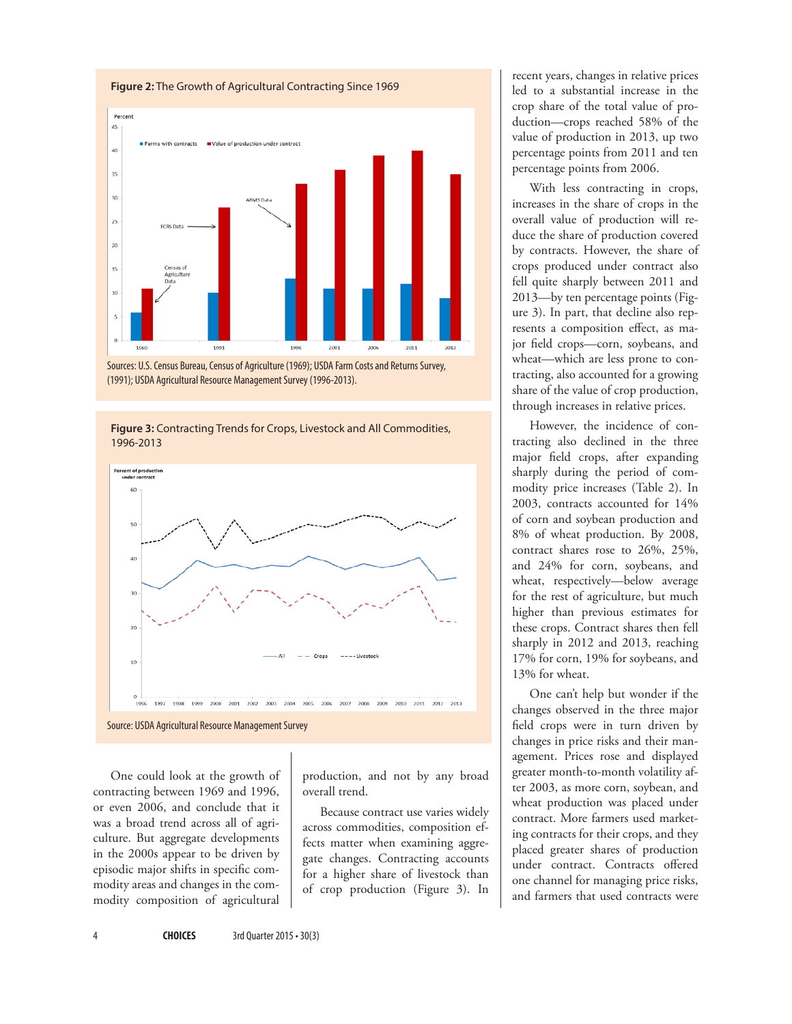

Sources: U.S. Census Bureau, Census of Agriculture (1969); USDA Farm Costs and Returns Survey, (1991); USDA Agricultural Resource Management Survey (1996-2013).





One could look at the growth of contracting between 1969 and 1996, or even 2006, and conclude that it was a broad trend across all of agriculture. But aggregate developments in the 2000s appear to be driven by episodic major shifts in specific commodity areas and changes in the commodity composition of agricultural production, and not by any broad overall trend.

Because contract use varies widely across commodities, composition effects matter when examining aggregate changes. Contracting accounts for a higher share of livestock than of crop production (Figure 3). In

recent years, changes in relative prices led to a substantial increase in the crop share of the total value of production—crops reached 58% of the value of production in 2013, up two percentage points from 2011 and ten percentage points from 2006.

With less contracting in crops, increases in the share of crops in the overall value of production will reduce the share of production covered by contracts. However, the share of crops produced under contract also fell quite sharply between 2011 and 2013—by ten percentage points (Figure 3). In part, that decline also represents a composition effect, as major field crops—corn, soybeans, and wheat—which are less prone to contracting, also accounted for a growing share of the value of crop production, through increases in relative prices.

However, the incidence of contracting also declined in the three major field crops, after expanding sharply during the period of commodity price increases (Table 2). In 2003, contracts accounted for 14% of corn and soybean production and 8% of wheat production. By 2008, contract shares rose to 26%, 25%, and 24% for corn, soybeans, and wheat, respectively—below average for the rest of agriculture, but much higher than previous estimates for these crops. Contract shares then fell sharply in 2012 and 2013, reaching 17% for corn, 19% for soybeans, and 13% for wheat.

One can't help but wonder if the changes observed in the three major field crops were in turn driven by changes in price risks and their management. Prices rose and displayed greater month-to-month volatility after 2003, as more corn, soybean, and wheat production was placed under contract. More farmers used marketing contracts for their crops, and they placed greater shares of production under contract. Contracts offered one channel for managing price risks, and farmers that used contracts were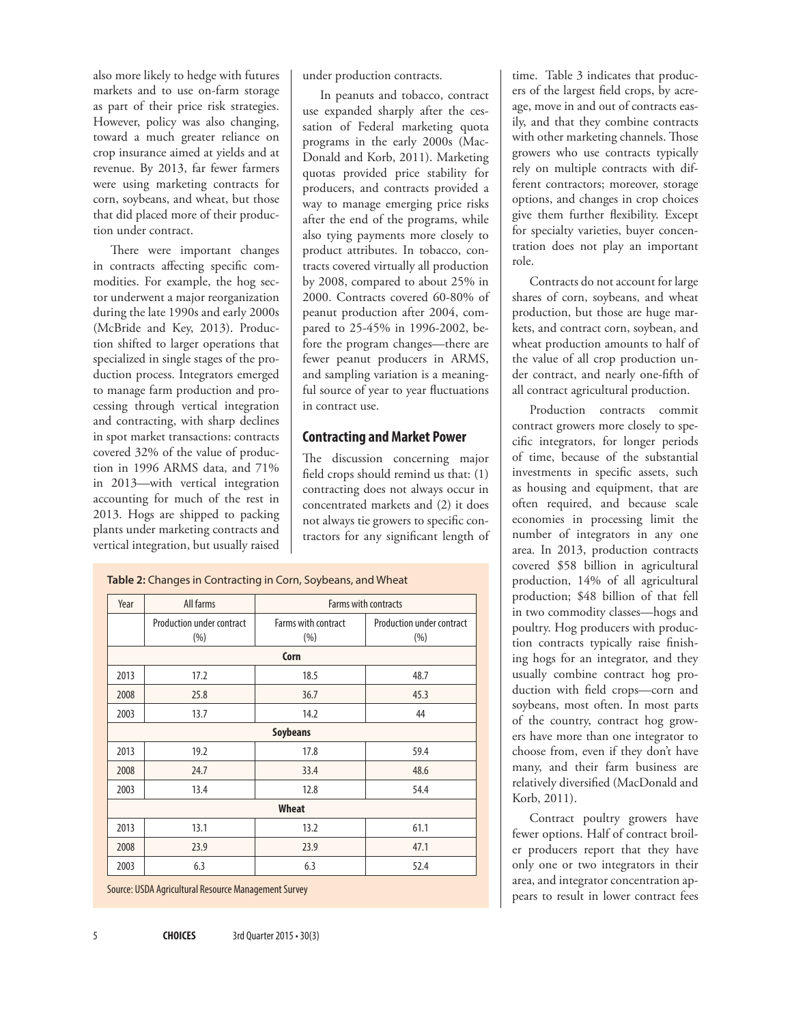also more likely to hedge with futures markets and to use on-farm storage as part of their price risk strategies. However, policy was also changing, toward a much greater reliance on crop insurance aimed at yields and at revenue. By 2013, far fewer farmers were using marketing contracts for corn, soybeans, and wheat, but those that did placed more of their production under contract.

There were important changes in contracts affecting specific commodities. For example, the hog sector underwent a major reorganization during the late 1990s and early 2000s (McBride and Key, 2013). Production shifted to larger operations that specialized in single stages of the production process. Integrators emerged to manage farm production and processing through vertical integration and contracting, with sharp declines in spot market transactions: contracts covered 32% of the value of production in 1996 ARMS data, and 71% in 2013—with vertical integration accounting for much of the rest in 2013. Hogs are shipped to packing plants under marketing contracts and vertical integration, but usually raised

under production contracts.

In peanuts and tobacco, contract use expanded sharply after the cessation of Federal marketing quota programs in the early 2000s (Mac-Donald and Korb, 2011). Marketing quotas provided price stability for producers, and contracts provided a way to manage emerging price risks after the end of the programs, while also tying payments more closely to product attributes. In tobacco, contracts covered virtually all production by 2008, compared to about 25% in 2000. Contracts covered 60-80% of peanut production after 2004, compared to 25-45% in 1996-2002, before the program changes—there are fewer peanut producers in ARMS, and sampling variation is a meaningful source of year to year fluctuations in contract use.

#### **Contracting and Market Power**

The discussion concerning major field crops should remind us that: (1) contracting does not always occur in concentrated markets and (2) it does not always tie growers to specific contractors for any significant length of

Year All farms Farms with contracts Production under contract (%) Farms with contract (%) Production under contract (%) **Corn** 2013 17.2 18.5 48.7 2008 25.8 36.7 45.3 2003 13.7 14.2 44 **Soybeans** 2013 19.2 17.8 59.4 2008 24.7 33.4 48.6 2003 13.4 12.8 54.4 **Wheat** 2013 13.1 13.2 61.1 2008 23.9 23.9 47.1 2003 6.3 6.3 52.4

**Table 2:** Changes in Contracting in Corn, Soybeans, and Wheat

Source: USDA Agricultural Resource Management Survey

time. Table 3 indicates that producers of the largest field crops, by acreage, move in and out of contracts easily, and that they combine contracts with other marketing channels. Those growers who use contracts typically rely on multiple contracts with different contractors; moreover, storage options, and changes in crop choices give them further flexibility. Except for specialty varieties, buyer concentration does not play an important role.

Contracts do not account for large shares of corn, soybeans, and wheat production, but those are huge markets, and contract corn, soybean, and wheat production amounts to half of the value of all crop production under contract, and nearly one-fifth of all contract agricultural production.

Production contracts commit contract growers more closely to specific integrators, for longer periods of time, because of the substantial investments in specific assets, such as housing and equipment, that are often required, and because scale economies in processing limit the number of integrators in any one area. In 2013, production contracts covered \$58 billion in agricultural production, 14% of all agricultural production; \$48 billion of that fell in two commodity classes—hogs and poultry. Hog producers with production contracts typically raise finishing hogs for an integrator, and they usually combine contract hog production with field crops—corn and soybeans, most often. In most parts of the country, contract hog growers have more than one integrator to choose from, even if they don't have many, and their farm business are relatively diversified (MacDonald and Korb, 2011).

Contract poultry growers have fewer options. Half of contract broiler producers report that they have only one or two integrators in their area, and integrator concentration appears to result in lower contract fees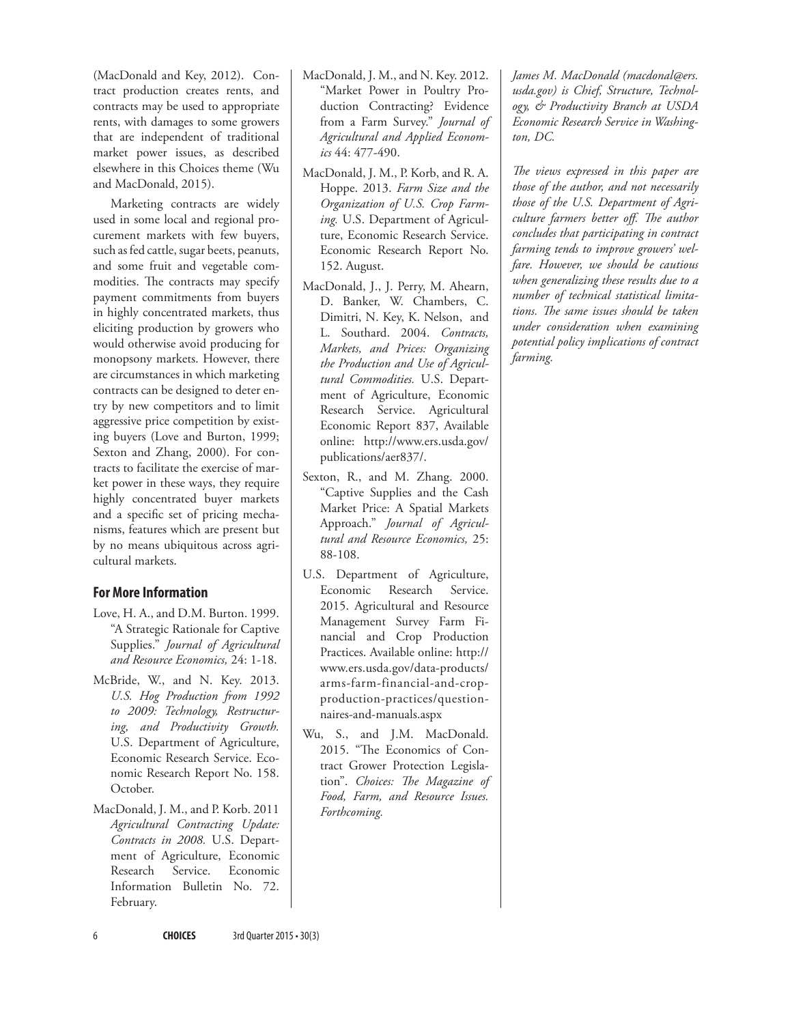(MacDonald and Key, 2012). Contract production creates rents, and contracts may be used to appropriate rents, with damages to some growers that are independent of traditional market power issues, as described elsewhere in this Choices theme (Wu and MacDonald, 2015).

Marketing contracts are widely used in some local and regional procurement markets with few buyers, such as fed cattle, sugar beets, peanuts, and some fruit and vegetable commodities. The contracts may specify payment commitments from buyers in highly concentrated markets, thus eliciting production by growers who would otherwise avoid producing for monopsony markets. However, there are circumstances in which marketing contracts can be designed to deter entry by new competitors and to limit aggressive price competition by existing buyers (Love and Burton, 1999; Sexton and Zhang, 2000). For contracts to facilitate the exercise of market power in these ways, they require highly concentrated buyer markets and a specific set of pricing mechanisms, features which are present but by no means ubiquitous across agricultural markets.

#### **For More Information**

- Love, H. A., and D.M. Burton. 1999. "A Strategic Rationale for Captive Supplies." *Journal of Agricultural and Resource Economics,* 24: 1-18.
- McBride, W., and N. Key. 2013. *U.S. Hog Production from 1992 to 2009: Technology, Restructuring, and Productivity Growth.*  U.S. Department of Agriculture, Economic Research Service. Economic Research Report No. 158. October.
- MacDonald, J. M., and P. Korb. 2011 *Agricultural Contracting Update: Contracts in 2008.* U.S. Department of Agriculture, Economic Research Service. Economic Information Bulletin No. 72. February.
- MacDonald, J. M., and N. Key. 2012. "Market Power in Poultry Production Contracting? Evidence from a Farm Survey." *Journal of Agricultural and Applied Economics* 44: 477-490.
- MacDonald, J. M., P. Korb, and R. A. Hoppe. 2013. *Farm Size and the Organization of U.S. Crop Farming.* U.S. Department of Agriculture, Economic Research Service. Economic Research Report No. 152. August.
- MacDonald, J., J. Perry, M. Ahearn, D. Banker, W. Chambers, C. Dimitri, N. Key, K. Nelson, and L. Southard. 2004. *Contracts, Markets, and Prices: Organizing the Production and Use of Agricultural Commodities.* U.S. Department of Agriculture, Economic Research Service. Agricultural Economic Report 837, Available online: http://www.ers.usda.gov/ publications/aer837/.
- Sexton, R., and M. Zhang. 2000. "Captive Supplies and the Cash Market Price: A Spatial Markets Approach." *Journal of Agricultural and Resource Economics,* 25: 88-108.
- U.S. Department of Agriculture, Economic Research Service. 2015. Agricultural and Resource Management Survey Farm Financial and Crop Production Practices. Available online: http:// www.ers.usda.gov/data-products/ arms-farm-financial-and-cropproduction-practices/questionnaires-and-manuals.aspx
- Wu, S., and J.M. MacDonald. 2015. "The Economics of Contract Grower Protection Legislation". *Choices: The Magazine of Food, Farm, and Resource Issues. Forthcoming.*

*James M. MacDonald (macdonal@ers. usda.gov) is Chief, Structure, Technology, & Productivity Branch at USDA Economic Research Service in Washington, DC.* 

*The views expressed in this paper are those of the author, and not necessarily those of the U.S. Department of Agriculture farmers better off. The author concludes that participating in contract farming tends to improve growers' welfare. However, we should be cautious when generalizing these results due to a number of technical statistical limitations. The same issues should be taken under consideration when examining potential policy implications of contract farming.* 

6 **CHOICES** 3rd Quarter 2015 • 30(3)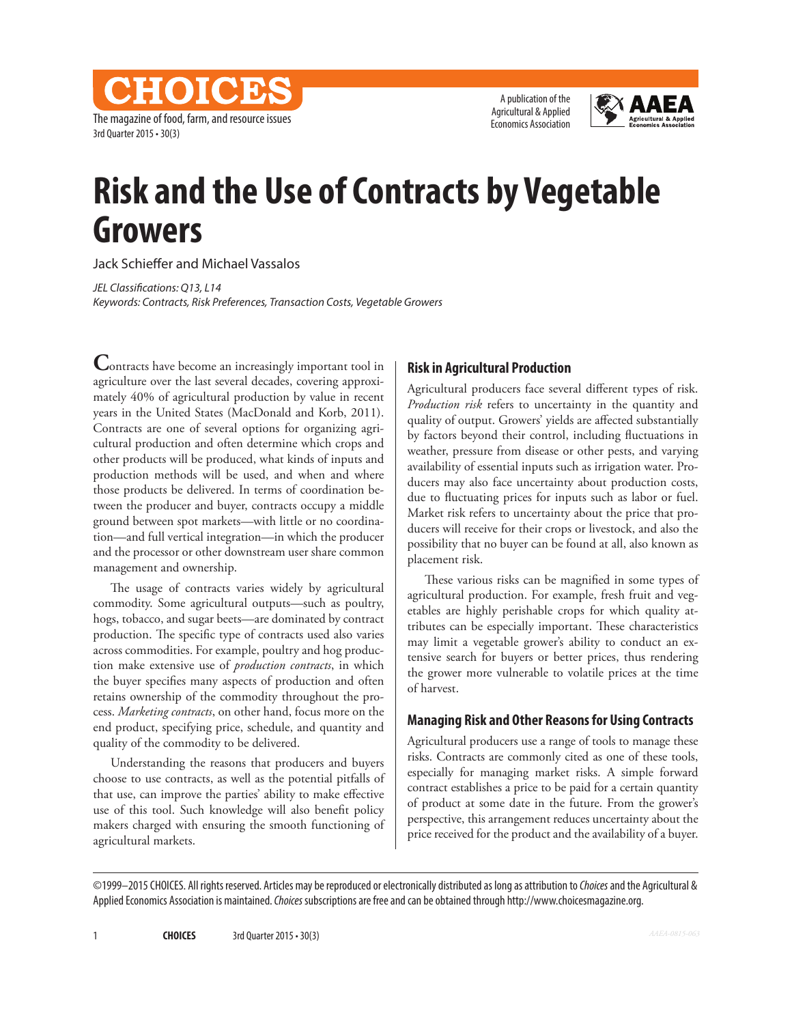CHOICES The magazine of food, farm, and resource issues 3rd Quarter 2015 • 30(3)

A publication of the Agricultural & Applied Economics Association



## **Risk and the Use of Contracts by Vegetable Growers**

Jack Schieffer and Michael Vassalos

*JEL Classifications: Q13, L14 Keywords: Contracts, Risk Preferences, Transaction Costs, Vegetable Growers*

**Contracts have become an increasingly important tool in** agriculture over the last several decades, covering approximately 40% of agricultural production by value in recent years in the United States (MacDonald and Korb, 2011). Contracts are one of several options for organizing agricultural production and often determine which crops and other products will be produced, what kinds of inputs and production methods will be used, and when and where those products be delivered. In terms of coordination between the producer and buyer, contracts occupy a middle ground between spot markets—with little or no coordination—and full vertical integration—in which the producer and the processor or other downstream user share common management and ownership.

The usage of contracts varies widely by agricultural commodity. Some agricultural outputs—such as poultry, hogs, tobacco, and sugar beets—are dominated by contract production. The specific type of contracts used also varies across commodities. For example, poultry and hog production make extensive use of *production contracts*, in which the buyer specifies many aspects of production and often retains ownership of the commodity throughout the process. *Marketing contracts*, on other hand, focus more on the end product, specifying price, schedule, and quantity and quality of the commodity to be delivered.

Understanding the reasons that producers and buyers choose to use contracts, as well as the potential pitfalls of that use, can improve the parties' ability to make effective use of this tool. Such knowledge will also benefit policy makers charged with ensuring the smooth functioning of agricultural markets.

#### **Risk in Agricultural Production**

Agricultural producers face several different types of risk. *Production risk* refers to uncertainty in the quantity and quality of output. Growers' yields are affected substantially by factors beyond their control, including fluctuations in weather, pressure from disease or other pests, and varying availability of essential inputs such as irrigation water. Producers may also face uncertainty about production costs, due to fluctuating prices for inputs such as labor or fuel. Market risk refers to uncertainty about the price that producers will receive for their crops or livestock, and also the possibility that no buyer can be found at all, also known as placement risk.

These various risks can be magnified in some types of agricultural production. For example, fresh fruit and vegetables are highly perishable crops for which quality attributes can be especially important. These characteristics may limit a vegetable grower's ability to conduct an extensive search for buyers or better prices, thus rendering the grower more vulnerable to volatile prices at the time of harvest.

#### **Managing Risk and Other Reasons for Using Contracts**

Agricultural producers use a range of tools to manage these risks. Contracts are commonly cited as one of these tools, especially for managing market risks. A simple forward contract establishes a price to be paid for a certain quantity of product at some date in the future. From the grower's perspective, this arrangement reduces uncertainty about the price received for the product and the availability of a buyer.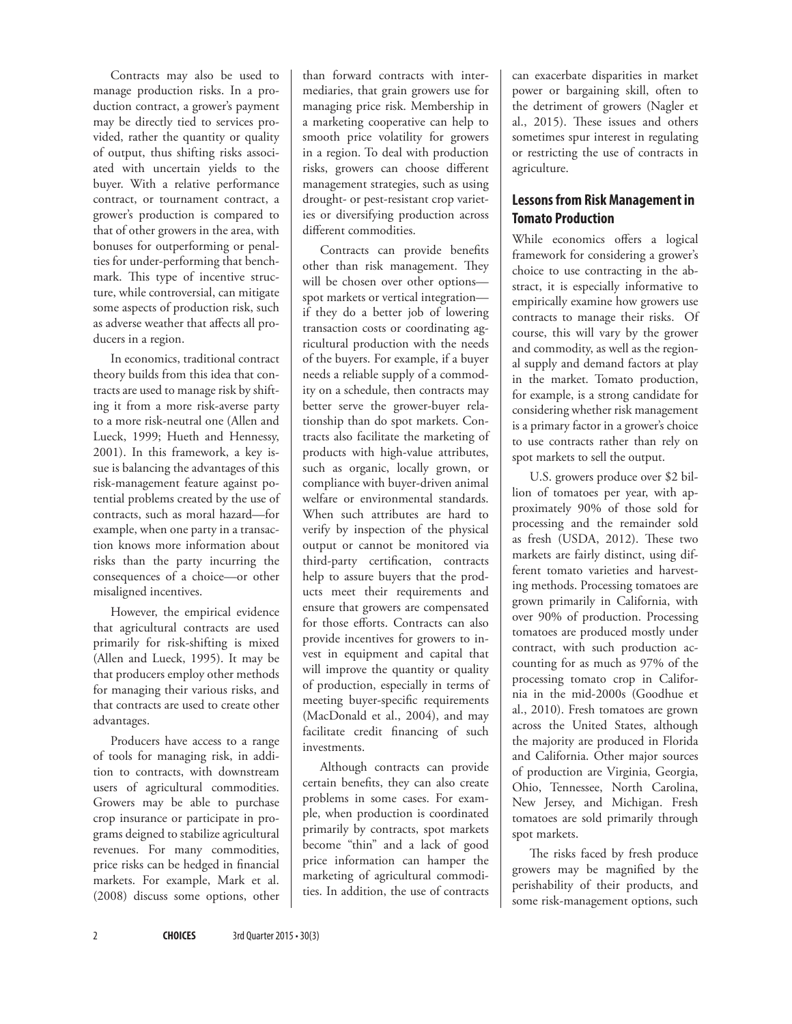Contracts may also be used to manage production risks. In a production contract, a grower's payment may be directly tied to services provided, rather the quantity or quality of output, thus shifting risks associated with uncertain yields to the buyer. With a relative performance contract, or tournament contract, a grower's production is compared to that of other growers in the area, with bonuses for outperforming or penalties for under-performing that benchmark. This type of incentive structure, while controversial, can mitigate some aspects of production risk, such as adverse weather that affects all producers in a region.

In economics, traditional contract theory builds from this idea that contracts are used to manage risk by shifting it from a more risk-averse party to a more risk-neutral one (Allen and Lueck, 1999; Hueth and Hennessy, 2001). In this framework, a key issue is balancing the advantages of this risk-management feature against potential problems created by the use of contracts, such as moral hazard—for example, when one party in a transaction knows more information about risks than the party incurring the consequences of a choice—or other misaligned incentives.

However, the empirical evidence that agricultural contracts are used primarily for risk-shifting is mixed (Allen and Lueck, 1995). It may be that producers employ other methods for managing their various risks, and that contracts are used to create other advantages.

Producers have access to a range of tools for managing risk, in addition to contracts, with downstream users of agricultural commodities. Growers may be able to purchase crop insurance or participate in programs deigned to stabilize agricultural revenues. For many commodities, price risks can be hedged in financial markets. For example, Mark et al. (2008) discuss some options, other

than forward contracts with intermediaries, that grain growers use for managing price risk. Membership in a marketing cooperative can help to smooth price volatility for growers in a region. To deal with production risks, growers can choose different management strategies, such as using drought- or pest-resistant crop varieties or diversifying production across different commodities.

Contracts can provide benefits other than risk management. They will be chosen over other options spot markets or vertical integration if they do a better job of lowering transaction costs or coordinating agricultural production with the needs of the buyers. For example, if a buyer needs a reliable supply of a commodity on a schedule, then contracts may better serve the grower-buyer relationship than do spot markets. Contracts also facilitate the marketing of products with high-value attributes, such as organic, locally grown, or compliance with buyer-driven animal welfare or environmental standards. When such attributes are hard to verify by inspection of the physical output or cannot be monitored via third-party certification, contracts help to assure buyers that the products meet their requirements and ensure that growers are compensated for those efforts. Contracts can also provide incentives for growers to invest in equipment and capital that will improve the quantity or quality of production, especially in terms of meeting buyer-specific requirements (MacDonald et al., 2004), and may facilitate credit financing of such investments.

Although contracts can provide certain benefits, they can also create problems in some cases. For example, when production is coordinated primarily by contracts, spot markets become "thin" and a lack of good price information can hamper the marketing of agricultural commodities. In addition, the use of contracts

can exacerbate disparities in market power or bargaining skill, often to the detriment of growers (Nagler et al., 2015). These issues and others sometimes spur interest in regulating or restricting the use of contracts in agriculture.

## **Lessons from Risk Management in Tomato Production**

While economics offers a logical framework for considering a grower's choice to use contracting in the abstract, it is especially informative to empirically examine how growers use contracts to manage their risks. Of course, this will vary by the grower and commodity, as well as the regional supply and demand factors at play in the market. Tomato production, for example, is a strong candidate for considering whether risk management is a primary factor in a grower's choice to use contracts rather than rely on spot markets to sell the output.

U.S. growers produce over \$2 billion of tomatoes per year, with approximately 90% of those sold for processing and the remainder sold as fresh (USDA, 2012). These two markets are fairly distinct, using different tomato varieties and harvesting methods. Processing tomatoes are grown primarily in California, with over 90% of production. Processing tomatoes are produced mostly under contract, with such production accounting for as much as 97% of the processing tomato crop in California in the mid-2000s (Goodhue et al., 2010). Fresh tomatoes are grown across the United States, although the majority are produced in Florida and California. Other major sources of production are Virginia, Georgia, Ohio, Tennessee, North Carolina, New Jersey, and Michigan. Fresh tomatoes are sold primarily through spot markets.

The risks faced by fresh produce growers may be magnified by the perishability of their products, and some risk-management options, such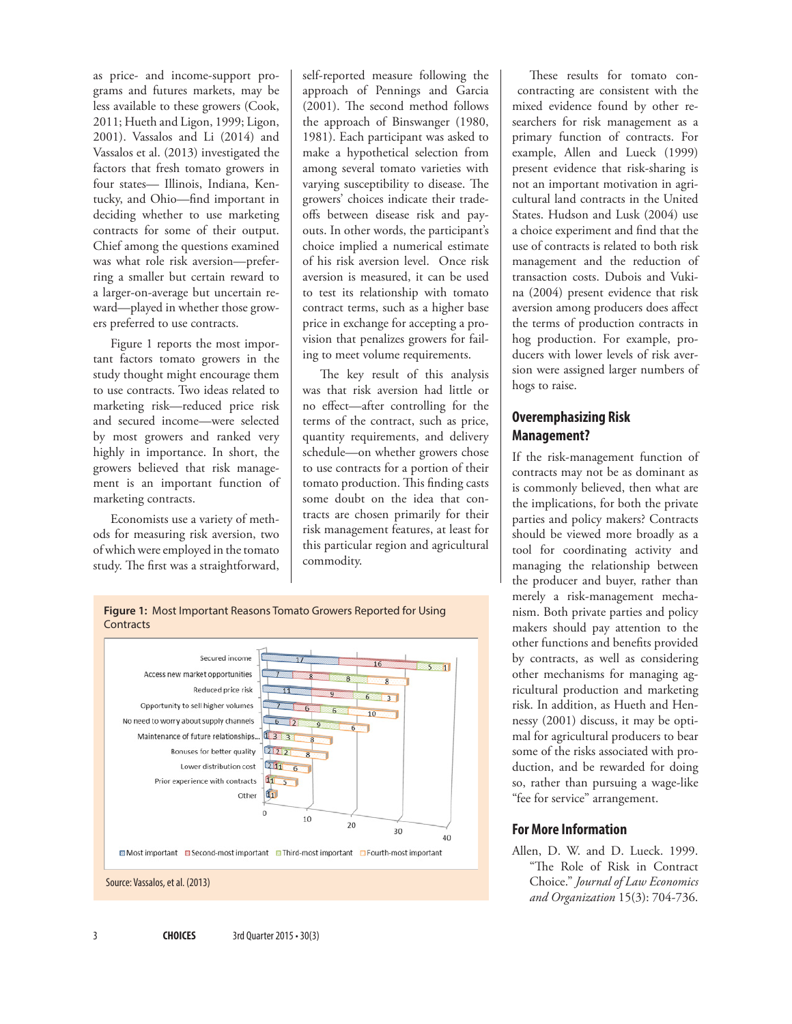as price- and income-support programs and futures markets, may be less available to these growers (Cook, 2011; Hueth and Ligon, 1999; Ligon, 2001). Vassalos and Li (2014) and Vassalos et al. (2013) investigated the factors that fresh tomato growers in four states— Illinois, Indiana, Kentucky, and Ohio—find important in deciding whether to use marketing contracts for some of their output. Chief among the questions examined was what role risk aversion—preferring a smaller but certain reward to a larger-on-average but uncertain reward—played in whether those growers preferred to use contracts.

Figure 1 reports the most important factors tomato growers in the study thought might encourage them to use contracts. Two ideas related to marketing risk—reduced price risk and secured income—were selected by most growers and ranked very highly in importance. In short, the growers believed that risk management is an important function of marketing contracts.

Economists use a variety of methods for measuring risk aversion, two of which were employed in the tomato study. The first was a straightforward,

self-reported measure following the approach of Pennings and Garcia (2001). The second method follows the approach of Binswanger (1980, 1981). Each participant was asked to make a hypothetical selection from among several tomato varieties with varying susceptibility to disease. The growers' choices indicate their tradeoffs between disease risk and payouts. In other words, the participant's choice implied a numerical estimate of his risk aversion level. Once risk aversion is measured, it can be used to test its relationship with tomato contract terms, such as a higher base price in exchange for accepting a provision that penalizes growers for failing to meet volume requirements.

The key result of this analysis was that risk aversion had little or no effect—after controlling for the terms of the contract, such as price, quantity requirements, and delivery schedule—on whether growers chose to use contracts for a portion of their tomato production. This finding casts some doubt on the idea that contracts are chosen primarily for their risk management features, at least for this particular region and agricultural commodity.

These results for tomato con contracting are consistent with the mixed evidence found by other researchers for risk management as a primary function of contracts. For example, Allen and Lueck (1999) present evidence that risk-sharing is not an important motivation in agricultural land contracts in the United States. Hudson and Lusk (2004) use a choice experiment and find that the use of contracts is related to both risk management and the reduction of transaction costs. Dubois and Vukina (2004) present evidence that risk aversion among producers does affect the terms of production contracts in hog production. For example, producers with lower levels of risk aversion were assigned larger numbers of hogs to raise.

## **Overemphasizing Risk Management?**

If the risk-management function of contracts may not be as dominant as is commonly believed, then what are the implications, for both the private parties and policy makers? Contracts should be viewed more broadly as a tool for coordinating activity and managing the relationship between the producer and buyer, rather than merely a risk-management mechanism. Both private parties and policy makers should pay attention to the other functions and benefits provided by contracts, as well as considering other mechanisms for managing agricultural production and marketing risk. In addition, as Hueth and Hennessy (2001) discuss, it may be optimal for agricultural producers to bear some of the risks associated with production, and be rewarded for doing so, rather than pursuing a wage-like "fee for service" arrangement.

### **For More Information**

Allen, D. W. and D. Lueck. 1999. "The Role of Risk in Contract Choice." *Journal of Law Economics and Organization* 15(3): 704-736.



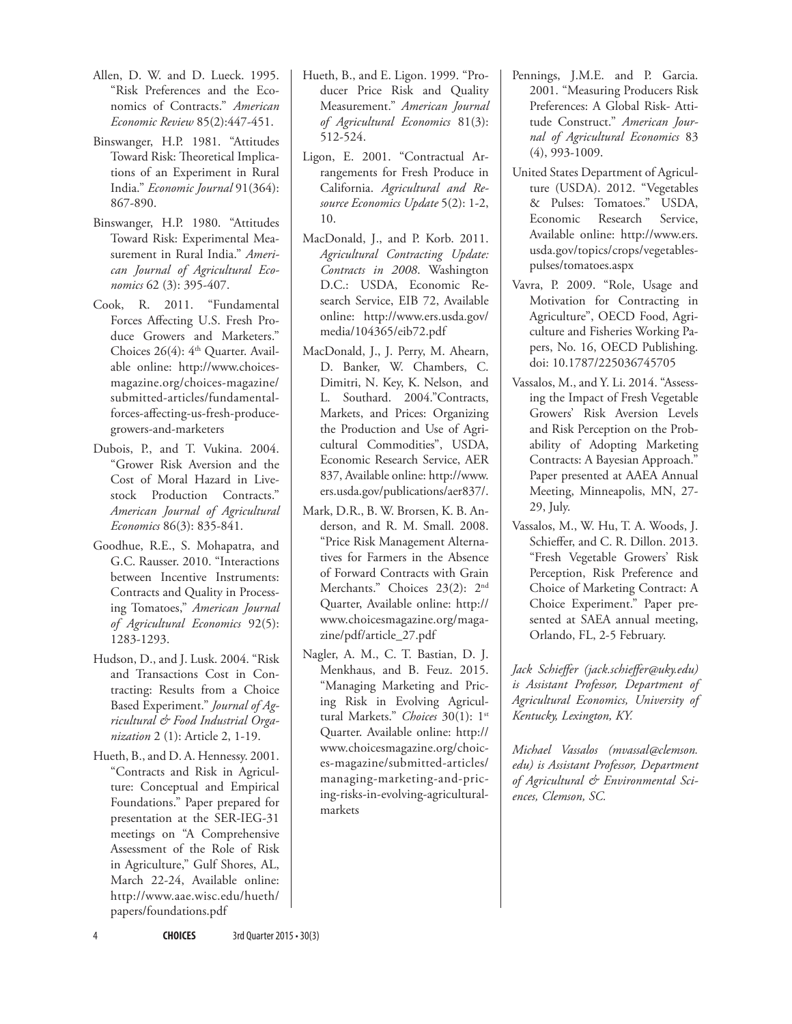- Allen, D. W. and D. Lueck. 1995. "Risk Preferences and the Economics of Contracts." *American Economic Review* 85(2):447-451.
- Binswanger, H.P. 1981. "Attitudes Toward Risk: Theoretical Implications of an Experiment in Rural India." *Economic Journal* 91(364): 867-890.
- Binswanger, H.P. 1980. "Attitudes Toward Risk: Experimental Measurement in Rural India." *American Journal of Agricultural Economics* 62 (3): 395-407.
- Cook, R. 2011. "Fundamental Forces Affecting U.S. Fresh Produce Growers and Marketers." Choices  $26(4)$ :  $4<sup>th</sup>$  Quarter. Available online: [http://www.choices](http://www.choicesmagazine.org/choices-magazine/submitted-articles/fundamental-forces-affecting-us-fresh-produce-growers-and-marketers)[magazine.org/choices-magazine/](http://www.choicesmagazine.org/choices-magazine/submitted-articles/fundamental-forces-affecting-us-fresh-produce-growers-and-marketers) [submitted-articles/fundamental](http://www.choicesmagazine.org/choices-magazine/submitted-articles/fundamental-forces-affecting-us-fresh-produce-growers-and-marketers)[forces-affecting-us-fresh-produce](http://www.choicesmagazine.org/choices-magazine/submitted-articles/fundamental-forces-affecting-us-fresh-produce-growers-and-marketers)[growers-and-marketers](http://www.choicesmagazine.org/choices-magazine/submitted-articles/fundamental-forces-affecting-us-fresh-produce-growers-and-marketers)
- Dubois, P., and T. Vukina. 2004. "Grower Risk Aversion and the Cost of Moral Hazard in Livestock Production Contracts." *American Journal of Agricultural Economics* 86(3): 835-841.
- Goodhue, R.E., S. Mohapatra, and G.C. Rausser. 2010. "Interactions between Incentive Instruments: Contracts and Quality in Processing Tomatoes," *American Journal of Agricultural Economics* 92(5): 1283-1293.
- Hudson, D., and J. Lusk. 2004. "Risk and Transactions Cost in Contracting: Results from a Choice Based Experiment." *Journal of Agricultural & Food Industrial Organization* 2 (1): Article 2, 1-19.
- Hueth, B., and D. A. Hennessy. 2001. "Contracts and Risk in Agriculture: Conceptual and Empirical Foundations." Paper prepared for presentation at the SER-IEG-31 meetings on "A Comprehensive Assessment of the Role of Risk in Agriculture," Gulf Shores, AL, March 22-24, Available online: [http://www.aae.wisc.edu/hueth/](http://www.aae.wisc.edu/hueth/papers/foundations.pdf) [papers/foundations.pdf](http://www.aae.wisc.edu/hueth/papers/foundations.pdf)
- Hueth, B., and E. Ligon. 1999. "Producer Price Risk and Quality Measurement." *American Journal of Agricultural Economics* 81(3): 512-524.
- Ligon, E. 2001. "Contractual Arrangements for Fresh Produce in California. *Agricultural and Resource Economics Update* 5(2): 1-2, 10.
- MacDonald, J., and P. Korb. 2011. *Agricultural Contracting Update: Contracts in 2008*. Washington D.C.: USDA, Economic Research Service, EIB 72, Available online: [http://www.ers.usda.gov/](http://www.ers.usda.gov/media/104365/eib72.pdf) [media/104365/eib72.pdf](http://www.ers.usda.gov/media/104365/eib72.pdf)
- MacDonald, J., J. Perry, M. Ahearn, D. Banker, W. Chambers, C. Dimitri, N. Key, K. Nelson, and L. Southard. 2004."Contracts, Markets, and Prices: Organizing the Production and Use of Agricultural Commodities", USDA, Economic Research Service, AER 837, Available online: [http://www.](http://www.ers.usda.gov/publications/aer837/) [ers.usda.gov/publications/aer837/.](http://www.ers.usda.gov/publications/aer837/)
- Mark, D.R., B. W. Brorsen, K. B. Anderson, and R. M. Small. 2008. "Price Risk Management Alternatives for Farmers in the Absence of Forward Contracts with Grain Merchants." Choices 23(2): 2nd Quarter, Available online: [http://](http://www.choicesmagazine.org/magazine/pdf/article_27.pdf) [www.choicesmagazine.org/maga](http://www.choicesmagazine.org/magazine/pdf/article_27.pdf)[zine/pdf/article\\_27.pdf](http://www.choicesmagazine.org/magazine/pdf/article_27.pdf)
- Nagler, A. M., C. T. Bastian, D. J. Menkhaus, and B. Feuz. 2015. "Managing Marketing and Pricing Risk in Evolving Agricultural Markets." *Choices* 30(1): 1st Quarter. Available online: [http://](http://www.choicesmagazine.org/choices-magazine/submitted-articles/managing-marketing-and-pricing-risks-in-evolving-agricultural-markets) [www.choicesmagazine.org/choic](http://www.choicesmagazine.org/choices-magazine/submitted-articles/managing-marketing-and-pricing-risks-in-evolving-agricultural-markets)[es-magazine/submitted-articles/](http://www.choicesmagazine.org/choices-magazine/submitted-articles/managing-marketing-and-pricing-risks-in-evolving-agricultural-markets) [managing-marketing-and-pric](http://www.choicesmagazine.org/choices-magazine/submitted-articles/managing-marketing-and-pricing-risks-in-evolving-agricultural-markets)[ing-risks-in-evolving-agricultural](http://www.choicesmagazine.org/choices-magazine/submitted-articles/managing-marketing-and-pricing-risks-in-evolving-agricultural-markets)[markets](http://www.choicesmagazine.org/choices-magazine/submitted-articles/managing-marketing-and-pricing-risks-in-evolving-agricultural-markets)
- Pennings, J.M.E. and P. Garcia. 2001. "Measuring Producers Risk Preferences: A Global Risk- Attitude Construct." *American Journal of Agricultural Economics* 83 (4), 993-1009.
- United States Department of Agriculture (USDA). 2012. "Vegetables & Pulses: Tomatoes." USDA, Economic Research Service, Available online: [http://www.ers.](http://www.ers.usda.gov/topics/crops/vegetables-pulses/tomatoes.aspx) [usda.gov/topics/crops/vegetables](http://www.ers.usda.gov/topics/crops/vegetables-pulses/tomatoes.aspx)[pulses/tomatoes.aspx](http://www.ers.usda.gov/topics/crops/vegetables-pulses/tomatoes.aspx)
- Vavra, P. 2009. "Role, Usage and Motivation for Contracting in Agriculture", OECD Food, Agriculture and Fisheries Working Papers, No. 16, OECD Publishing. doi: 10.1787/225036745705
- Vassalos, M., and Y. Li. 2014. "Assessing the Impact of Fresh Vegetable Growers' Risk Aversion Levels and Risk Perception on the Probability of Adopting Marketing Contracts: A Bayesian Approach." Paper presented at AAEA Annual Meeting, Minneapolis, MN, 27- 29, July.
- Vassalos, M., W. Hu, T. A. Woods, J. Schieffer, and C. R. Dillon. 2013. "Fresh Vegetable Growers' Risk Perception, Risk Preference and Choice of Marketing Contract: A Choice Experiment." Paper presented at SAEA annual meeting, Orlando, FL, 2-5 February.

*Jack Schieffer (jack.schieffer@uky.edu) is Assistant Professor, Department of Agricultural Economics, University of Kentucky, Lexington, KY.*

*Michael Vassalos (mvassal@clemson. edu) is Assistant Professor, Department of Agricultural & Environmental Sciences, Clemson, SC.*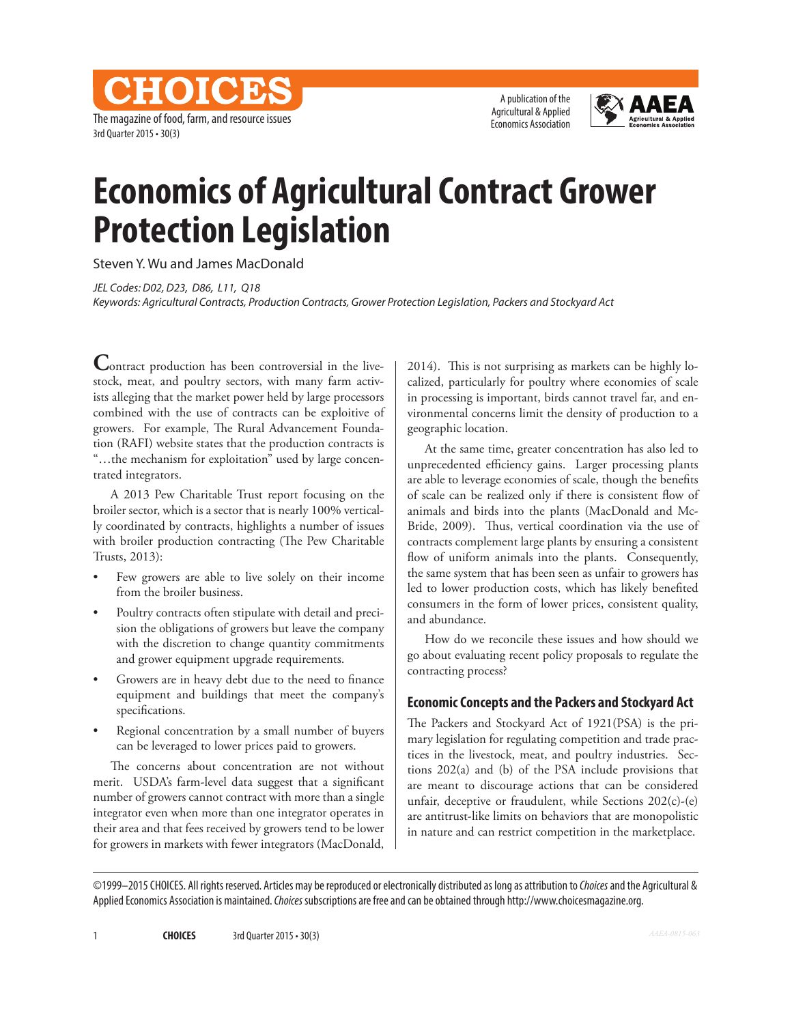CHOICES The magazine of food, farm, and resource issues 3rd Quarter 2015 • 30(3)

A publication of the Agricultural & Applied Economics Association



## **Economics of Agricultural Contract Grower Protection Legislation**

Steven Y. Wu and James MacDonald

*JEL Codes: D02, D23, D86, L11, Q18 Keywords: Agricultural Contracts, Production Contracts, Grower Protection Legislation, Packers and Stockyard Act*

**Contract production has been controversial in the live**stock, meat, and poultry sectors, with many farm activists alleging that the market power held by large processors combined with the use of contracts can be exploitive of growers. For example, The Rural Advancement Foundation (RAFI) website states that the production contracts is "…the mechanism for exploitation" used by large concentrated integrators.

A 2013 Pew Charitable Trust report focusing on the broiler sector, which is a sector that is nearly 100% vertically coordinated by contracts, highlights a number of issues with broiler production contracting (The Pew Charitable Trusts, 2013):

- Few growers are able to live solely on their income from the broiler business.
- Poultry contracts often stipulate with detail and precision the obligations of growers but leave the company with the discretion to change quantity commitments and grower equipment upgrade requirements.
- Growers are in heavy debt due to the need to finance equipment and buildings that meet the company's specifications.
- Regional concentration by a small number of buyers can be leveraged to lower prices paid to growers.

The concerns about concentration are not without merit. USDA's farm-level data suggest that a significant number of growers cannot contract with more than a single integrator even when more than one integrator operates in their area and that fees received by growers tend to be lower for growers in markets with fewer integrators (MacDonald,

2014). This is not surprising as markets can be highly localized, particularly for poultry where economies of scale in processing is important, birds cannot travel far, and environmental concerns limit the density of production to a geographic location.

At the same time, greater concentration has also led to unprecedented efficiency gains. Larger processing plants are able to leverage economies of scale, though the benefits of scale can be realized only if there is consistent flow of animals and birds into the plants (MacDonald and Mc-Bride, 2009). Thus, vertical coordination via the use of contracts complement large plants by ensuring a consistent flow of uniform animals into the plants. Consequently, the same system that has been seen as unfair to growers has led to lower production costs, which has likely benefited consumers in the form of lower prices, consistent quality, and abundance.

How do we reconcile these issues and how should we go about evaluating recent policy proposals to regulate the contracting process?

### **Economic Concepts and the Packers and Stockyard Act**

The Packers and Stockyard Act of 1921(PSA) is the primary legislation for regulating competition and trade practices in the livestock, meat, and poultry industries. Sections 202(a) and (b) of the PSA include provisions that are meant to discourage actions that can be considered unfair, deceptive or fraudulent, while Sections 202(c)-(e) are antitrust-like limits on behaviors that are monopolistic in nature and can restrict competition in the marketplace.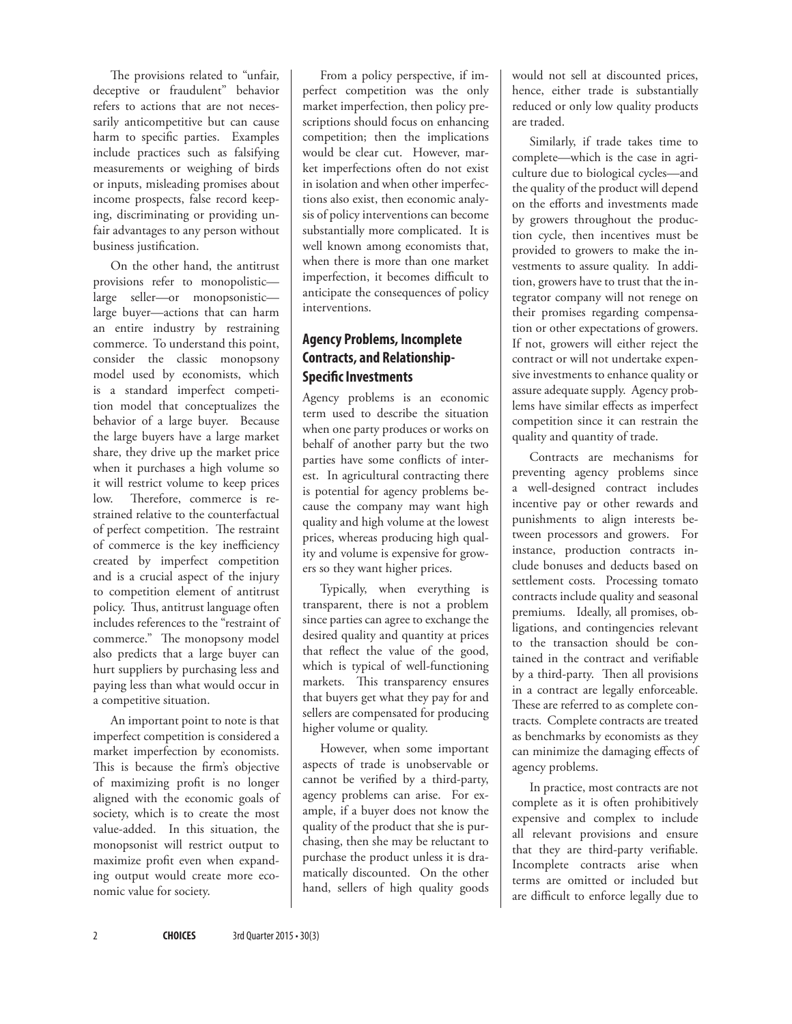The provisions related to "unfair, deceptive or fraudulent" behavior refers to actions that are not necessarily anticompetitive but can cause harm to specific parties. Examples include practices such as falsifying measurements or weighing of birds or inputs, misleading promises about income prospects, false record keeping, discriminating or providing unfair advantages to any person without business justification.

On the other hand, the antitrust provisions refer to monopolistic large seller—or monopsonistic large buyer—actions that can harm an entire industry by restraining commerce. To understand this point, consider the classic monopsony model used by economists, which is a standard imperfect competition model that conceptualizes the behavior of a large buyer. Because the large buyers have a large market share, they drive up the market price when it purchases a high volume so it will restrict volume to keep prices low. Therefore, commerce is restrained relative to the counterfactual of perfect competition. The restraint of commerce is the key inefficiency created by imperfect competition and is a crucial aspect of the injury to competition element of antitrust policy. Thus, antitrust language often includes references to the "restraint of commerce." The monopsony model also predicts that a large buyer can hurt suppliers by purchasing less and paying less than what would occur in a competitive situation.

An important point to note is that imperfect competition is considered a market imperfection by economists. This is because the firm's objective of maximizing profit is no longer aligned with the economic goals of society, which is to create the most value-added. In this situation, the monopsonist will restrict output to maximize profit even when expanding output would create more economic value for society.

From a policy perspective, if imperfect competition was the only market imperfection, then policy prescriptions should focus on enhancing competition; then the implications would be clear cut. However, market imperfections often do not exist in isolation and when other imperfections also exist, then economic analysis of policy interventions can become substantially more complicated. It is well known among economists that, when there is more than one market imperfection, it becomes difficult to anticipate the consequences of policy interventions.

## **Agency Problems, Incomplete Contracts, and Relationship-Specific Investments**

Agency problems is an economic term used to describe the situation when one party produces or works on behalf of another party but the two parties have some conflicts of interest. In agricultural contracting there is potential for agency problems because the company may want high quality and high volume at the lowest prices, whereas producing high quality and volume is expensive for growers so they want higher prices.

Typically, when everything is transparent, there is not a problem since parties can agree to exchange the desired quality and quantity at prices that reflect the value of the good, which is typical of well-functioning markets. This transparency ensures that buyers get what they pay for and sellers are compensated for producing higher volume or quality.

However, when some important aspects of trade is unobservable or cannot be verified by a third-party, agency problems can arise. For example, if a buyer does not know the quality of the product that she is purchasing, then she may be reluctant to purchase the product unless it is dramatically discounted. On the other hand, sellers of high quality goods would not sell at discounted prices, hence, either trade is substantially reduced or only low quality products are traded.

Similarly, if trade takes time to complete—which is the case in agriculture due to biological cycles—and the quality of the product will depend on the efforts and investments made by growers throughout the production cycle, then incentives must be provided to growers to make the investments to assure quality. In addition, growers have to trust that the integrator company will not renege on their promises regarding compensation or other expectations of growers. If not, growers will either reject the contract or will not undertake expensive investments to enhance quality or assure adequate supply. Agency problems have similar effects as imperfect competition since it can restrain the quality and quantity of trade.

Contracts are mechanisms for preventing agency problems since a well-designed contract includes incentive pay or other rewards and punishments to align interests between processors and growers. For instance, production contracts include bonuses and deducts based on settlement costs. Processing tomato contracts include quality and seasonal premiums. Ideally, all promises, obligations, and contingencies relevant to the transaction should be contained in the contract and verifiable by a third-party. Then all provisions in a contract are legally enforceable. These are referred to as complete contracts*.* Complete contracts are treated as benchmarks by economists as they can minimize the damaging effects of agency problems.

In practice, most contracts are not complete as it is often prohibitively expensive and complex to include all relevant provisions and ensure that they are third-party verifiable. Incomplete contracts arise when terms are omitted or included but are difficult to enforce legally due to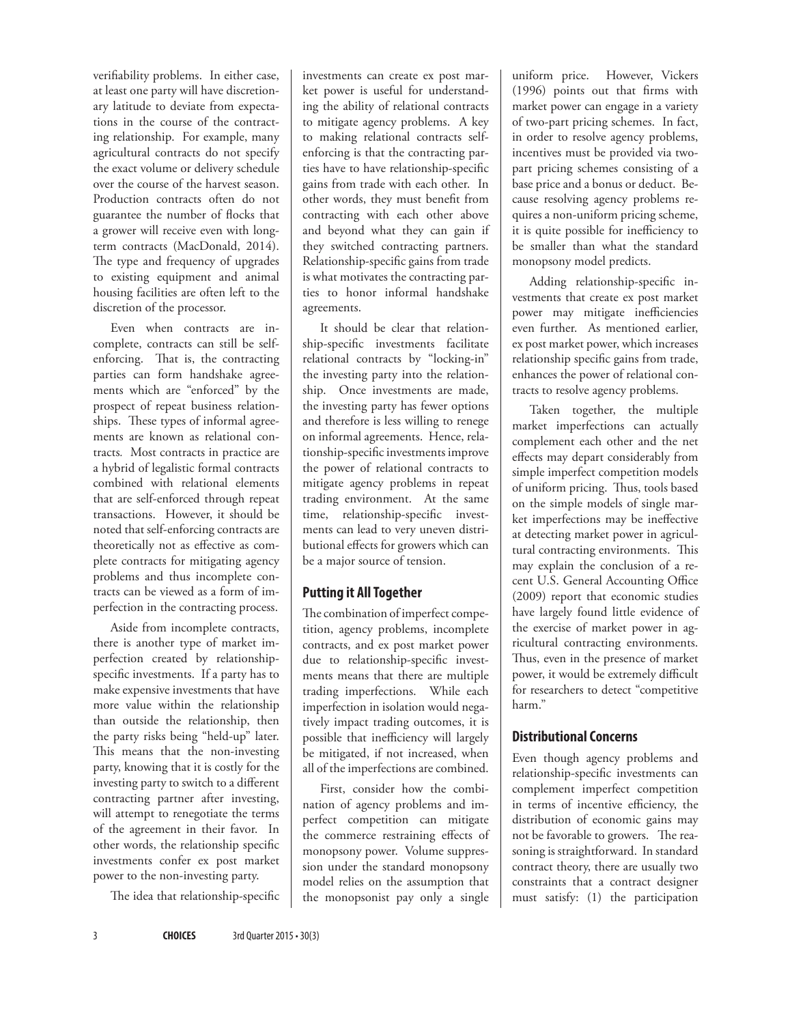verifiability problems. In either case, at least one party will have discretionary latitude to deviate from expectations in the course of the contracting relationship. For example, many agricultural contracts do not specify the exact volume or delivery schedule over the course of the harvest season. Production contracts often do not guarantee the number of flocks that a grower will receive even with longterm contracts (MacDonald, 2014). The type and frequency of upgrades to existing equipment and animal housing facilities are often left to the discretion of the processor.

Even when contracts are incomplete, contracts can still be selfenforcing. That is, the contracting parties can form handshake agreements which are "enforced" by the prospect of repeat business relationships. These types of informal agreements are known as relational contracts*.* Most contracts in practice are a hybrid of legalistic formal contracts combined with relational elements that are self-enforced through repeat transactions. However, it should be noted that self-enforcing contracts are theoretically not as effective as complete contracts for mitigating agency problems and thus incomplete contracts can be viewed as a form of imperfection in the contracting process.

Aside from incomplete contracts, there is another type of market imperfection created by relationshipspecific investments. If a party has to make expensive investments that have more value within the relationship than outside the relationship, then the party risks being "held-up" later. This means that the non-investing party, knowing that it is costly for the investing party to switch to a different contracting partner after investing, will attempt to renegotiate the terms of the agreement in their favor. In other words, the relationship specific investments confer ex post market power to the non-investing party.

The idea that relationship-specific

investments can create ex post market power is useful for understanding the ability of relational contracts to mitigate agency problems. A key to making relational contracts selfenforcing is that the contracting parties have to have relationship-specific gains from trade with each other. In other words, they must benefit from contracting with each other above and beyond what they can gain if they switched contracting partners. Relationship-specific gains from trade is what motivates the contracting parties to honor informal handshake agreements.

It should be clear that relationship-specific investments facilitate relational contracts by "locking-in" the investing party into the relationship. Once investments are made, the investing party has fewer options and therefore is less willing to renege on informal agreements. Hence, relationship-specific investments improve the power of relational contracts to mitigate agency problems in repeat trading environment. At the same time, relationship-specific investments can lead to very uneven distributional effects for growers which can be a major source of tension.

### **Putting it All Together**

The combination of imperfect competition, agency problems, incomplete contracts, and ex post market power due to relationship-specific investments means that there are multiple trading imperfections. While each imperfection in isolation would negatively impact trading outcomes, it is possible that inefficiency will largely be mitigated, if not increased, when all of the imperfections are combined.

First, consider how the combination of agency problems and imperfect competition can mitigate the commerce restraining effects of monopsony power. Volume suppression under the standard monopsony model relies on the assumption that the monopsonist pay only a single uniform price. However, Vickers (1996) points out that firms with market power can engage in a variety of two-part pricing schemes. In fact, in order to resolve agency problems, incentives must be provided via twopart pricing schemes consisting of a base price and a bonus or deduct. Because resolving agency problems requires a non-uniform pricing scheme, it is quite possible for inefficiency to be smaller than what the standard monopsony model predicts.

Adding relationship-specific investments that create ex post market power may mitigate inefficiencies even further. As mentioned earlier, ex post market power, which increases relationship specific gains from trade, enhances the power of relational contracts to resolve agency problems.

Taken together, the multiple market imperfections can actually complement each other and the net effects may depart considerably from simple imperfect competition models of uniform pricing. Thus, tools based on the simple models of single market imperfections may be ineffective at detecting market power in agricultural contracting environments. This may explain the conclusion of a recent U.S. General Accounting Office (2009) report that economic studies have largely found little evidence of the exercise of market power in agricultural contracting environments. Thus, even in the presence of market power, it would be extremely difficult for researchers to detect "competitive harm."

### **Distributional Concerns**

Even though agency problems and relationship-specific investments can complement imperfect competition in terms of incentive efficiency, the distribution of economic gains may not be favorable to growers. The reasoning is straightforward. In standard contract theory, there are usually two constraints that a contract designer must satisfy: (1) the participation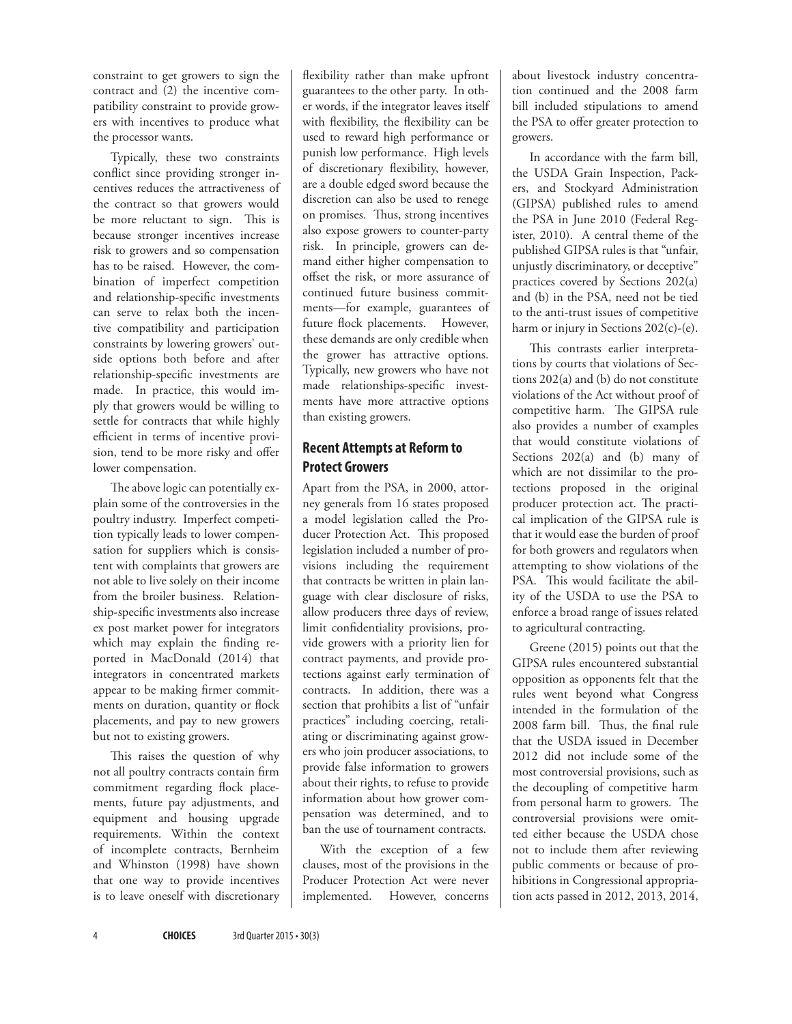constraint to get growers to sign the contract and (2) the incentive compatibility constraint to provide growers with incentives to produce what the processor wants.

Typically, these two constraints conflict since providing stronger incentives reduces the attractiveness of the contract so that growers would be more reluctant to sign. This is because stronger incentives increase risk to growers and so compensation has to be raised. However, the combination of imperfect competition and relationship-specific investments can serve to relax both the incentive compatibility and participation constraints by lowering growers' outside options both before and after relationship-specific investments are made. In practice, this would imply that growers would be willing to settle for contracts that while highly efficient in terms of incentive provision, tend to be more risky and offer lower compensation.

The above logic can potentially explain some of the controversies in the poultry industry. Imperfect competition typically leads to lower compensation for suppliers which is consistent with complaints that growers are not able to live solely on their income from the broiler business. Relationship-specific investments also increase ex post market power for integrators which may explain the finding reported in MacDonald (2014) that integrators in concentrated markets appear to be making firmer commitments on duration, quantity or flock placements, and pay to new growers but not to existing growers.

This raises the question of why not all poultry contracts contain firm commitment regarding flock placements, future pay adjustments, and equipment and housing upgrade requirements. Within the context of incomplete contracts, Bernheim and Whinston (1998) have shown that one way to provide incentives is to leave oneself with discretionary

flexibility rather than make upfront guarantees to the other party. In other words, if the integrator leaves itself with flexibility, the flexibility can be used to reward high performance or punish low performance. High levels of discretionary flexibility, however, are a double edged sword because the discretion can also be used to renege on promises. Thus, strong incentives also expose growers to counter-party risk. In principle, growers can demand either higher compensation to offset the risk, or more assurance of continued future business commitments—for example, guarantees of future flock placements. However, these demands are only credible when the grower has attractive options. Typically, new growers who have not made relationships-specific investments have more attractive options than existing growers.

## **Recent Attempts at Reform to Protect Growers**

Apart from the PSA, in 2000, attorney generals from 16 states proposed a model legislation called the Producer Protection Act. This proposed legislation included a number of provisions including the requirement that contracts be written in plain language with clear disclosure of risks, allow producers three days of review, limit confidentiality provisions, provide growers with a priority lien for contract payments, and provide protections against early termination of contracts. In addition, there was a section that prohibits a list of "unfair practices" including coercing, retaliating or discriminating against growers who join producer associations, to provide false information to growers about their rights, to refuse to provide information about how grower compensation was determined, and to ban the use of tournament contracts.

With the exception of a few clauses, most of the provisions in the Producer Protection Act were never implemented. However, concerns

about livestock industry concentration continued and the 2008 farm bill included stipulations to amend the PSA to offer greater protection to growers.

In accordance with the farm bill, the USDA Grain Inspection, Packers, and Stockyard Administration (GIPSA) published rules to amend the PSA in June 2010 (Federal Register, 2010). A central theme of the published GIPSA rules is that "unfair, unjustly discriminatory, or deceptive" practices covered by Sections 202(a) and (b) in the PSA, need not be tied to the anti-trust issues of competitive harm or injury in Sections 202(c)-(e).

This contrasts earlier interpretations by courts that violations of Sections 202(a) and (b) do not constitute violations of the Act without proof of competitive harm. The GIPSA rule also provides a number of examples that would constitute violations of Sections 202(a) and (b) many of which are not dissimilar to the protections proposed in the original producer protection act. The practical implication of the GIPSA rule is that it would ease the burden of proof for both growers and regulators when attempting to show violations of the PSA. This would facilitate the ability of the USDA to use the PSA to enforce a broad range of issues related to agricultural contracting.

Greene (2015) points out that the GIPSA rules encountered substantial opposition as opponents felt that the rules went beyond what Congress intended in the formulation of the 2008 farm bill. Thus, the final rule that the USDA issued in December 2012 did not include some of the most controversial provisions, such as the decoupling of competitive harm from personal harm to growers. The controversial provisions were omitted either because the USDA chose not to include them after reviewing public comments or because of prohibitions in Congressional appropriation acts passed in 2012, 2013, 2014,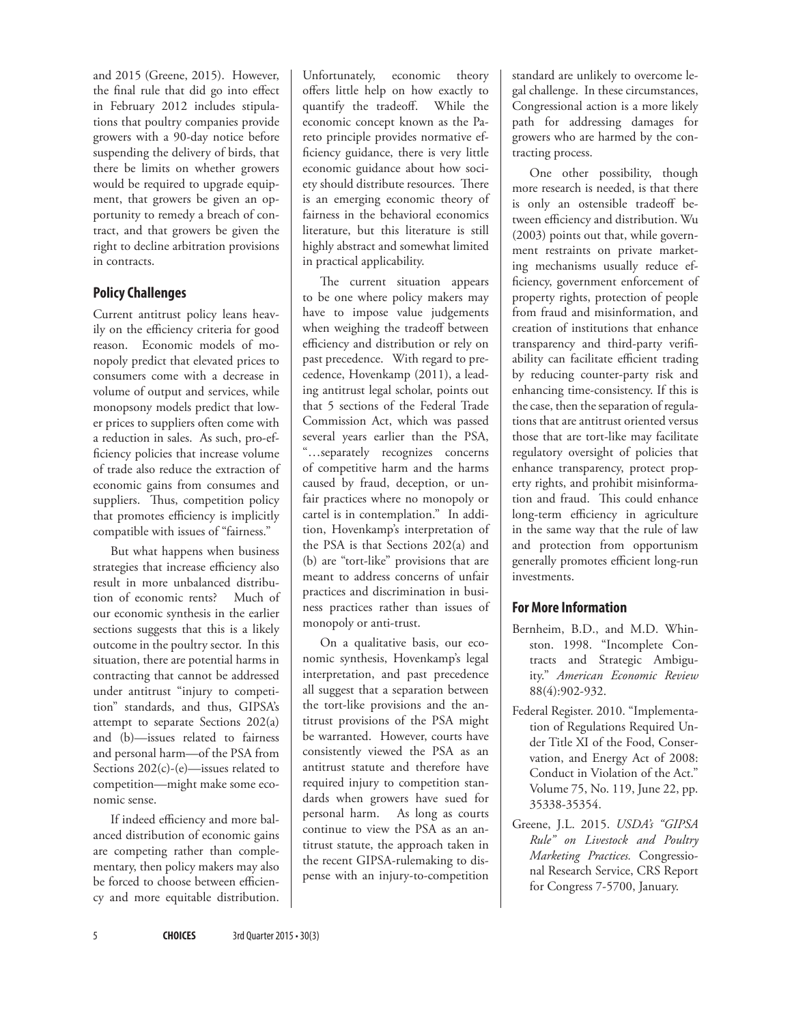and 2015 (Greene, 2015). However, the final rule that did go into effect in February 2012 includes stipulations that poultry companies provide growers with a 90-day notice before suspending the delivery of birds, that there be limits on whether growers would be required to upgrade equipment, that growers be given an opportunity to remedy a breach of contract, and that growers be given the right to decline arbitration provisions in contracts.

## **Policy Challenges**

Current antitrust policy leans heavily on the efficiency criteria for good reason. Economic models of monopoly predict that elevated prices to consumers come with a decrease in volume of output and services, while monopsony models predict that lower prices to suppliers often come with a reduction in sales. As such, pro-efficiency policies that increase volume of trade also reduce the extraction of economic gains from consumes and suppliers. Thus, competition policy that promotes efficiency is implicitly compatible with issues of "fairness."

But what happens when business strategies that increase efficiency also result in more unbalanced distribution of economic rents? Much of our economic synthesis in the earlier sections suggests that this is a likely outcome in the poultry sector. In this situation, there are potential harms in contracting that cannot be addressed under antitrust "injury to competition" standards, and thus, GIPSA's attempt to separate Sections 202(a) and (b)—issues related to fairness and personal harm—of the PSA from Sections 202(c)-(e)—issues related to competition—might make some economic sense.

If indeed efficiency and more balanced distribution of economic gains are competing rather than complementary, then policy makers may also be forced to choose between efficiency and more equitable distribution. Unfortunately, economic theory offers little help on how exactly to quantify the tradeoff. While the economic concept known as the Pareto principle provides normative efficiency guidance, there is very little economic guidance about how society should distribute resources. There is an emerging economic theory of fairness in the behavioral economics literature, but this literature is still highly abstract and somewhat limited in practical applicability.

The current situation appears to be one where policy makers may have to impose value judgements when weighing the tradeoff between efficiency and distribution or rely on past precedence. With regard to precedence, Hovenkamp (2011), a leading antitrust legal scholar, points out that 5 sections of the Federal Trade Commission Act, which was passed several years earlier than the PSA, "…separately recognizes concerns of competitive harm and the harms caused by fraud, deception, or unfair practices where no monopoly or cartel is in contemplation." In addition, Hovenkamp's interpretation of the PSA is that Sections 202(a) and (b) are "tort-like" provisions that are meant to address concerns of unfair practices and discrimination in business practices rather than issues of monopoly or anti-trust.

On a qualitative basis, our economic synthesis, Hovenkamp's legal interpretation, and past precedence all suggest that a separation between the tort-like provisions and the antitrust provisions of the PSA might be warranted. However, courts have consistently viewed the PSA as an antitrust statute and therefore have required injury to competition standards when growers have sued for personal harm. As long as courts continue to view the PSA as an antitrust statute, the approach taken in the recent GIPSA-rulemaking to dispense with an injury-to-competition

standard are unlikely to overcome legal challenge. In these circumstances, Congressional action is a more likely path for addressing damages for growers who are harmed by the contracting process.

One other possibility, though more research is needed, is that there is only an ostensible tradeoff between efficiency and distribution. Wu (2003) points out that, while government restraints on private marketing mechanisms usually reduce efficiency, government enforcement of property rights, protection of people from fraud and misinformation, and creation of institutions that enhance transparency and third-party verifiability can facilitate efficient trading by reducing counter-party risk and enhancing time-consistency. If this is the case, then the separation of regulations that are antitrust oriented versus those that are tort-like may facilitate regulatory oversight of policies that enhance transparency, protect property rights, and prohibit misinformation and fraud. This could enhance long-term efficiency in agriculture in the same way that the rule of law and protection from opportunism generally promotes efficient long-run investments.

### **For More Information**

- Bernheim, B.D., and M.D. Whinston. 1998. "Incomplete Contracts and Strategic Ambiguity." *American Economic Review*  88(4):902-932.
- Federal Register. 2010. "Implementation of Regulations Required Under Title XI of the Food, Conservation, and Energy Act of 2008: Conduct in Violation of the Act." Volume 75, No. 119, June 22, pp. 35338-35354.
- Greene, J.L. 2015. *USDA's "GIPSA Rule" on Livestock and Poultry Marketing Practices.* Congressional Research Service, CRS Report for Congress 7-5700, January.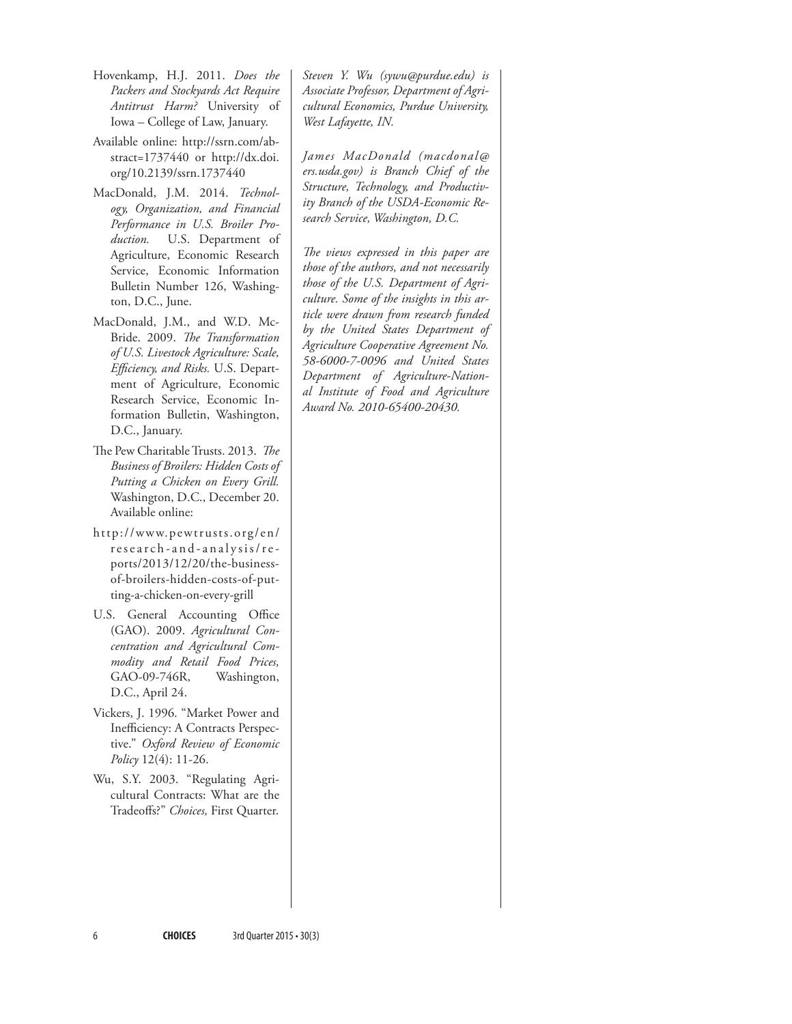- Hovenkamp, H.J. 2011. *Does the Packers and Stockyards Act Require Antitrust Harm?* University of Iowa – College of Law, January.
- Available online: [http://ssrn.com/ab](http://ssrn.com/abstract=1737440)[stract=1737440](http://ssrn.com/abstract=1737440) or [http://dx.doi.](http://dx.doi.org/10.2139/ssrn.1737440) [org/10.2139/ssrn.1737440](http://dx.doi.org/10.2139/ssrn.1737440)
- MacDonald, J.M. 2014. *Technology, Organization, and Financial Performance in U.S. Broiler Production.* U.S. Department of Agriculture, Economic Research Service, Economic Information Bulletin Number 126, Washington, D.C., June.
- MacDonald, J.M., and W.D. Mc-Bride. 2009. *The Transformation of U.S. Livestock Agriculture: Scale, Efficiency, and Risks.* U.S. Department of Agriculture, Economic Research Service, Economic Information Bulletin, Washington, D.C., January.
- The Pew Charitable Trusts. 2013. *The Business of Broilers: Hidden Costs of Putting a Chicken on Every Grill.*  Washington, D.C., December 20. Available online:
- [http://www.pewtrusts.org/en/](http://www.pewtrusts.org/en/research-and-analysis/reports/2013/12/20/the-business-of-broilers-hidden-costs-of-putting-a-chicken-on-every-grill) [research-and-analysis/re](http://www.pewtrusts.org/en/research-and-analysis/reports/2013/12/20/the-business-of-broilers-hidden-costs-of-putting-a-chicken-on-every-grill)[ports/2013/12/20/the-business](http://www.pewtrusts.org/en/research-and-analysis/reports/2013/12/20/the-business-of-broilers-hidden-costs-of-putting-a-chicken-on-every-grill)[of-broilers-hidden-costs-of-put](http://www.pewtrusts.org/en/research-and-analysis/reports/2013/12/20/the-business-of-broilers-hidden-costs-of-putting-a-chicken-on-every-grill)[ting-a-chicken-on-every-grill](http://www.pewtrusts.org/en/research-and-analysis/reports/2013/12/20/the-business-of-broilers-hidden-costs-of-putting-a-chicken-on-every-grill)
- U.S. General Accounting Office (GAO). 2009. *Agricultural Concentration and Agricultural Commodity and Retail Food Prices,*  GAO-09-746R, Washington, D.C., April 24.
- Vickers, J. 1996. "Market Power and Inefficiency: A Contracts Perspective." *Oxford Review of Economic Policy* 12(4): 11-26.
- Wu, S.Y. 2003. "Regulating Agricultural Contracts: What are the Tradeoffs?" *Choices,* First Quarter.

*Steven Y. Wu ([sywu@purdue.edu\)](mailto:sywu@purdue.edu) is Associate Professor, Department of Agricultural Economics, Purdue University, West Lafayette, IN.*

*James MacDonald (macdonal@ ers.usda.gov) is Branch Chief of the Structure, Technology, and Productivity Branch of the USDA-Economic Research Service, Washington, D.C.*

*The views expressed in this paper are those of the authors, and not necessarily those of the U.S. Department of Agriculture. Some of the insights in this article were drawn from research funded by the United States Department of Agriculture Cooperative Agreement No. 58-6000-7-0096 and United States Department of Agriculture-National Institute of Food and Agriculture Award No. 2010-65400-20430.*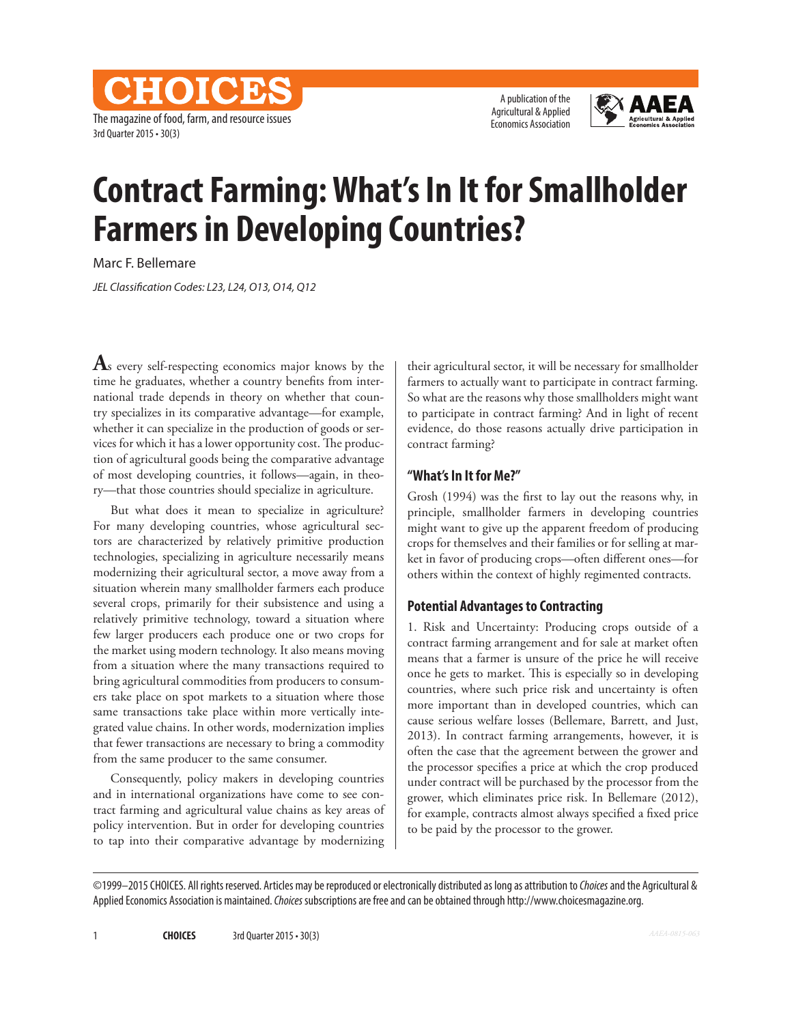The magazine of food, farm, and resource issues 3rd Quarter 2015 • 30(3)

CHOICES

A publication of the Agricultural & Applied Economics Association



## **Contract Farming: What's In It for Smallholder Farmers in Developing Countries?**

Marc F. Bellemare

*JEL Classification Codes: L23, L24, O13, O14, Q12*

**A**s every self-respecting economics major knows by the time he graduates, whether a country benefits from international trade depends in theory on whether that country specializes in its comparative advantage—for example, whether it can specialize in the production of goods or services for which it has a lower opportunity cost. The production of agricultural goods being the comparative advantage of most developing countries, it follows—again, in theory—that those countries should specialize in agriculture.

But what does it mean to specialize in agriculture? For many developing countries, whose agricultural sectors are characterized by relatively primitive production technologies, specializing in agriculture necessarily means modernizing their agricultural sector, a move away from a situation wherein many smallholder farmers each produce several crops, primarily for their subsistence and using a relatively primitive technology, toward a situation where few larger producers each produce one or two crops for the market using modern technology. It also means moving from a situation where the many transactions required to bring agricultural commodities from producers to consumers take place on spot markets to a situation where those same transactions take place within more vertically integrated value chains. In other words, modernization implies that fewer transactions are necessary to bring a commodity from the same producer to the same consumer.

Consequently, policy makers in developing countries and in international organizations have come to see contract farming and agricultural value chains as key areas of policy intervention. But in order for developing countries to tap into their comparative advantage by modernizing

their agricultural sector, it will be necessary for smallholder farmers to actually want to participate in contract farming. So what are the reasons why those smallholders might want to participate in contract farming? And in light of recent evidence, do those reasons actually drive participation in contract farming?

#### **"What's In It for Me?"**

Grosh (1994) was the first to lay out the reasons why, in principle, smallholder farmers in developing countries might want to give up the apparent freedom of producing crops for themselves and their families or for selling at market in favor of producing crops—often different ones—for others within the context of highly regimented contracts.

#### **Potential Advantages to Contracting**

1. Risk and Uncertainty: Producing crops outside of a contract farming arrangement and for sale at market often means that a farmer is unsure of the price he will receive once he gets to market. This is especially so in developing countries, where such price risk and uncertainty is often more important than in developed countries, which can cause serious welfare losses (Bellemare, Barrett, and Just, 2013). In contract farming arrangements, however, it is often the case that the agreement between the grower and the processor specifies a price at which the crop produced under contract will be purchased by the processor from the grower, which eliminates price risk. In Bellemare (2012), for example, contracts almost always specified a fixed price to be paid by the processor to the grower.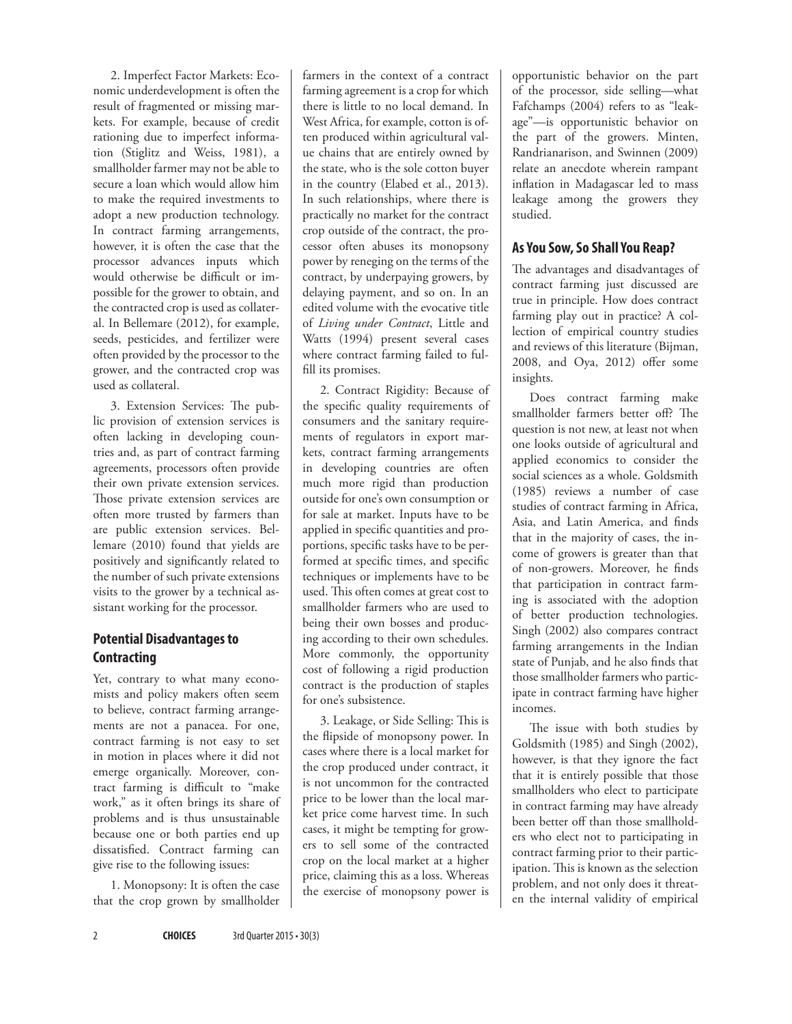2. Imperfect Factor Markets: Economic underdevelopment is often the result of fragmented or missing markets. For example, because of credit rationing due to imperfect information (Stiglitz and Weiss, 1981), a smallholder farmer may not be able to secure a loan which would allow him to make the required investments to adopt a new production technology. In contract farming arrangements, however, it is often the case that the processor advances inputs which would otherwise be difficult or impossible for the grower to obtain, and the contracted crop is used as collateral. In Bellemare (2012), for example, seeds, pesticides, and fertilizer were often provided by the processor to the grower, and the contracted crop was used as collateral.

3. Extension Services: The public provision of extension services is often lacking in developing countries and, as part of contract farming agreements, processors often provide their own private extension services. Those private extension services are often more trusted by farmers than are public extension services. Bellemare (2010) found that yields are positively and significantly related to the number of such private extensions visits to the grower by a technical assistant working for the processor.

## **Potential Disadvantages to Contracting**

Yet, contrary to what many economists and policy makers often seem to believe, contract farming arrangements are not a panacea. For one, contract farming is not easy to set in motion in places where it did not emerge organically. Moreover, contract farming is difficult to "make work," as it often brings its share of problems and is thus unsustainable because one or both parties end up dissatisfied. Contract farming can give rise to the following issues:

1. Monopsony: It is often the case that the crop grown by smallholder

farmers in the context of a contract farming agreement is a crop for which there is little to no local demand. In West Africa, for example, cotton is often produced within agricultural value chains that are entirely owned by the state, who is the sole cotton buyer in the country (Elabed et al., 2013). In such relationships, where there is practically no market for the contract crop outside of the contract, the processor often abuses its monopsony power by reneging on the terms of the contract, by underpaying growers, by delaying payment, and so on. In an edited volume with the evocative title of *Living under Contract*, Little and Watts (1994) present several cases where contract farming failed to fulfill its promises.

2. Contract Rigidity: Because of the specific quality requirements of consumers and the sanitary requirements of regulators in export markets, contract farming arrangements in developing countries are often much more rigid than production outside for one's own consumption or for sale at market. Inputs have to be applied in specific quantities and proportions, specific tasks have to be performed at specific times, and specific techniques or implements have to be used. This often comes at great cost to smallholder farmers who are used to being their own bosses and producing according to their own schedules. More commonly, the opportunity cost of following a rigid production contract is the production of staples for one's subsistence.

3. Leakage, or Side Selling: This is the flipside of monopsony power. In cases where there is a local market for the crop produced under contract, it is not uncommon for the contracted price to be lower than the local market price come harvest time. In such cases, it might be tempting for growers to sell some of the contracted crop on the local market at a higher price, claiming this as a loss. Whereas the exercise of monopsony power is opportunistic behavior on the part of the processor, side selling—what Fafchamps (2004) refers to as "leakage"—is opportunistic behavior on the part of the growers. Minten, Randrianarison, and Swinnen (2009) relate an anecdote wherein rampant inflation in Madagascar led to mass leakage among the growers they studied.

## **As You Sow, So Shall You Reap?**

The advantages and disadvantages of contract farming just discussed are true in principle. How does contract farming play out in practice? A collection of empirical country studies and reviews of this literature (Bijman, 2008, and Oya, 2012) offer some insights.

Does contract farming make smallholder farmers better off? The question is not new, at least not when one looks outside of agricultural and applied economics to consider the social sciences as a whole. Goldsmith (1985) reviews a number of case studies of contract farming in Africa, Asia, and Latin America, and finds that in the majority of cases, the income of growers is greater than that of non-growers. Moreover, he finds that participation in contract farming is associated with the adoption of better production technologies. Singh (2002) also compares contract farming arrangements in the Indian state of Punjab, and he also finds that those smallholder farmers who participate in contract farming have higher incomes.

The issue with both studies by Goldsmith (1985) and Singh (2002), however, is that they ignore the fact that it is entirely possible that those smallholders who elect to participate in contract farming may have already been better off than those smallholders who elect not to participating in contract farming prior to their participation. This is known as the selection problem, and not only does it threaten the internal validity of empirical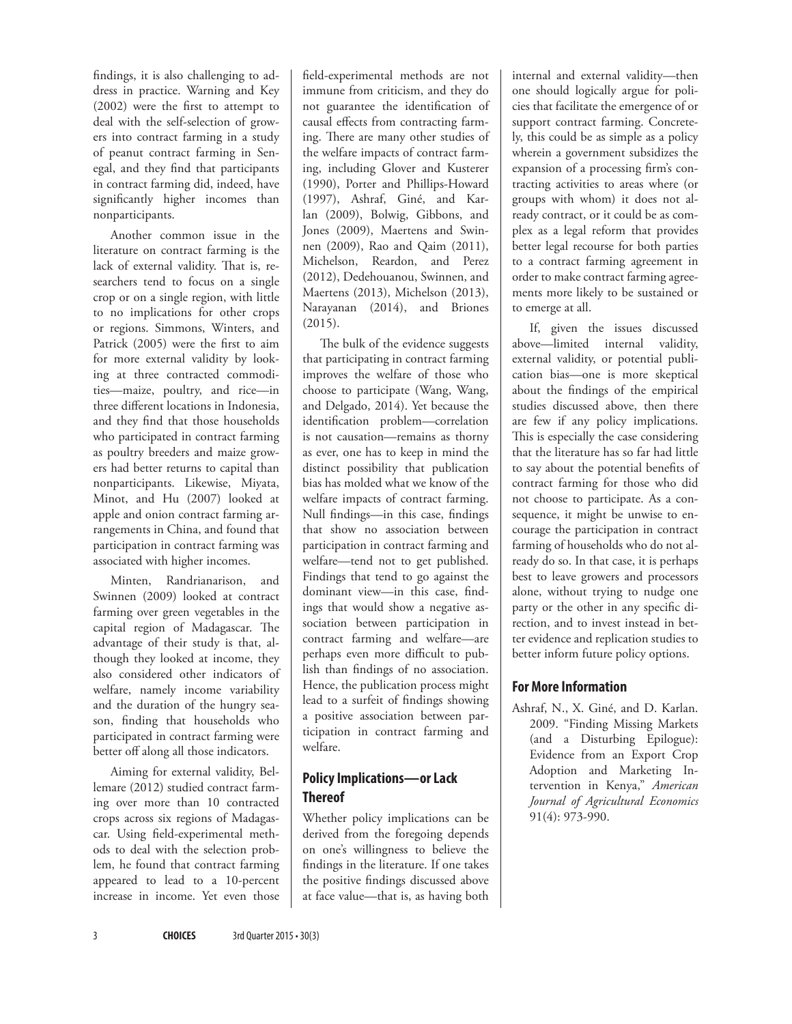findings, it is also challenging to address in practice. Warning and Key (2002) were the first to attempt to deal with the self-selection of growers into contract farming in a study of peanut contract farming in Senegal, and they find that participants in contract farming did, indeed, have significantly higher incomes than nonparticipants.

Another common issue in the literature on contract farming is the lack of external validity. That is, researchers tend to focus on a single crop or on a single region, with little to no implications for other crops or regions. Simmons, Winters, and Patrick (2005) were the first to aim for more external validity by looking at three contracted commodities—maize, poultry, and rice—in three different locations in Indonesia, and they find that those households who participated in contract farming as poultry breeders and maize growers had better returns to capital than nonparticipants. Likewise, Miyata, Minot, and Hu (2007) looked at apple and onion contract farming arrangements in China, and found that participation in contract farming was associated with higher incomes.

Minten, Randrianarison, and Swinnen (2009) looked at contract farming over green vegetables in the capital region of Madagascar. The advantage of their study is that, although they looked at income, they also considered other indicators of welfare, namely income variability and the duration of the hungry season, finding that households who participated in contract farming were better off along all those indicators.

Aiming for external validity, Bellemare (2012) studied contract farming over more than 10 contracted crops across six regions of Madagascar. Using field-experimental methods to deal with the selection problem, he found that contract farming appeared to lead to a 10-percent increase in income. Yet even those

field-experimental methods are not immune from criticism, and they do not guarantee the identification of causal effects from contracting farming. There are many other studies of the welfare impacts of contract farming, including Glover and Kusterer (1990), Porter and Phillips-Howard (1997), Ashraf, Giné, and Karlan (2009), Bolwig, Gibbons, and Jones (2009), Maertens and Swinnen (2009), Rao and Qaim (2011), Michelson, Reardon, and Perez (2012), Dedehouanou, Swinnen, and Maertens (2013), Michelson (2013), Narayanan (2014), and Briones (2015).

The bulk of the evidence suggests that participating in contract farming improves the welfare of those who choose to participate (Wang, Wang, and Delgado, 2014). Yet because the identification problem—correlation is not causation—remains as thorny as ever, one has to keep in mind the distinct possibility that publication bias has molded what we know of the welfare impacts of contract farming. Null findings—in this case, findings that show no association between participation in contract farming and welfare—tend not to get published. Findings that tend to go against the dominant view—in this case, findings that would show a negative association between participation in contract farming and welfare—are perhaps even more difficult to publish than findings of no association. Hence, the publication process might lead to a surfeit of findings showing a positive association between participation in contract farming and welfare.

## **Policy Implications—or Lack Thereof**

Whether policy implications can be derived from the foregoing depends on one's willingness to believe the findings in the literature. If one takes the positive findings discussed above at face value—that is, as having both internal and external validity—then one should logically argue for policies that facilitate the emergence of or support contract farming. Concretely, this could be as simple as a policy wherein a government subsidizes the expansion of a processing firm's contracting activities to areas where (or groups with whom) it does not already contract, or it could be as complex as a legal reform that provides better legal recourse for both parties to a contract farming agreement in order to make contract farming agreements more likely to be sustained or to emerge at all.

If, given the issues discussed above—limited internal validity, external validity, or potential publication bias—one is more skeptical about the findings of the empirical studies discussed above, then there are few if any policy implications. This is especially the case considering that the literature has so far had little to say about the potential benefits of contract farming for those who did not choose to participate. As a consequence, it might be unwise to encourage the participation in contract farming of households who do not already do so. In that case, it is perhaps best to leave growers and processors alone, without trying to nudge one party or the other in any specific direction, and to invest instead in better evidence and replication studies to better inform future policy options.

## **For More Information**

Ashraf, N., X. Giné, and D. Karlan. 2009. "Finding Missing Markets (and a Disturbing Epilogue): Evidence from an Export Crop Adoption and Marketing Intervention in Kenya," *American Journal of Agricultural Economics* 91(4): 973-990.